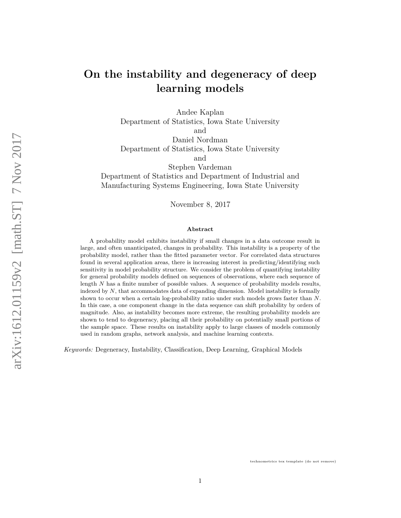# **On the instability and degeneracy of deep learning models**

Andee Kaplan Department of Statistics, Iowa State University and Daniel Nordman Department of Statistics, Iowa State University and Stephen Vardeman Department of Statistics and Department of Industrial and Manufacturing Systems Engineering, Iowa State University

November 8, 2017

#### **Abstract**

A probability model exhibits instability if small changes in a data outcome result in large, and often unanticipated, changes in probability. This instability is a property of the probability model, rather than the fitted parameter vector. For correlated data structures found in several application areas, there is increasing interest in predicting/identifying such sensitivity in model probability structure. We consider the problem of quantifying instability for general probability models defined on sequences of observations, where each sequence of length *N* has a finite number of possible values. A sequence of probability models results, indexed by *N*, that accommodates data of expanding dimension. Model instability is formally shown to occur when a certain log-probability ratio under such models grows faster than *N*. In this case, a one component change in the data sequence can shift probability by orders of magnitude. Also, as instability becomes more extreme, the resulting probability models are shown to tend to degeneracy, placing all their probability on potentially small portions of the sample space. These results on instability apply to large classes of models commonly used in random graphs, network analysis, and machine learning contexts.

*Keywords:* Degeneracy, Instability, Classification, Deep Learning, Graphical Models

technometrics tex template (do not remove)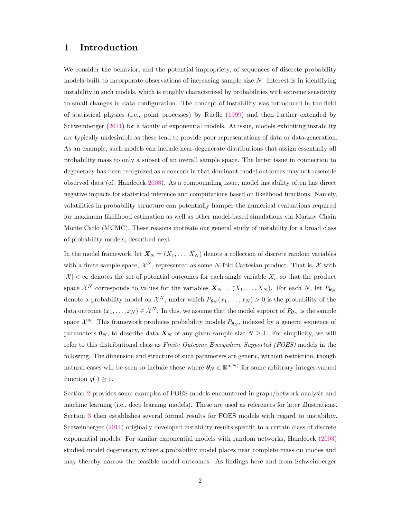### **1 Introduction**

We consider the behavior, and the potential impropriety, of sequences of discrete probability models built to incorporate observations of increasing sample size *N*. Interest is in identifying instability in such models, which is roughly characterized by probabilities with extreme sensitivity to small changes in data configuration. The concept of instability was introduced in the field of statistical physics (i.e., point processes) by Ruelle [\(1999\)](#page-28-0) and then further extended by Schweinberger [\(2011\)](#page-28-1) for a family of exponential models. At issue, models exhibiting instability are typically undesirable as these tend to provide poor representations of data or data-generation. As an example, such models can include near-degenerate distributions that assign essentially all probability mass to only a subset of an overall sample space. The latter issue in connection to degeneracy has been recognized as a concern in that dominant model outcomes may not resemble observed data (cf. Handcock [2003\)](#page-28-2). As a compounding issue, model instability often has direct negative impacts for statistical inference and computations based on likelihood functions. Namely, volatilities in probability structure can potentially hamper the numerical evaluations required for maximum likelihood estimation as well as other model-based simulations via Markov Chain Monte Carlo (MCMC). These reasons motivate our general study of instability for a broad class of probability models, described next.

In the model framework, let  $X_N = (X_1, \ldots, X_N)$  denote a collection of discrete random variables with a finite sample space,  $\mathcal{X}^N$ , represented as some *N*-fold Cartesian product. That is,  $\mathcal{X}$  with  $|\mathcal{X}| < \infty$  denotes the set of potential outcomes for each single variable  $X_i$ , so that the product space  $\mathcal{X}^N$  corresponds to values for the variables  $\mathbf{X}_N = (X_1, \ldots, X_N)$ . For each N, let  $P_{\theta_N}$ denote a probability model on  $\mathcal{X}^N$ , under which  $P_{\theta_N}(x_1,\ldots,x_N) > 0$  is the probability of the data outcome  $(x_1, \ldots, x_N) \in \mathcal{X}^N$ . In this, we assume that the model support of  $P_{\theta_N}$  is the sample space  $\mathcal{X}^N$ . This framework produces probability models  $P_{\theta_N}$ , indexed by a generic sequence of parameters  $\theta_N$ , to describe data  $X_N$  of any given sample size  $N \geq 1$ . For simplicity, we will refer to this distributional class as *Finite Outcome Everywhere Supported (FOES)* models in the following. The dimension and structure of such parameters are generic, without restriction, though natural cases will be seen to include those where  $\theta_N \in \mathbb{R}^{q(N)}$  for some arbitrary integer-valued function  $q(\cdot) \geq 1$ .

Section [2](#page-2-0) provides some examples of FOES models encountered in graph/network analysis and machine learning (i.e., deep learning models). These are used as references for later illustrations. Section [3](#page-6-0) then establishes several formal results for FOES models with regard to instability. Schweinberger [\(2011\)](#page-28-1) originally developed instability results specific to a certain class of discrete exponential models. For similar exponential models with random networks, Handcock [\(2003\)](#page-28-2) studied model degeneracy, where a probability model places near complete mass on modes and may thereby narrow the feasible model outcomes. As findings here and from Schweinberger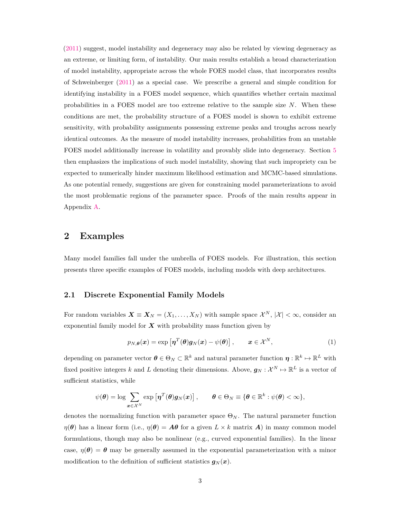[\(2011\)](#page-28-1) suggest, model instability and degeneracy may also be related by viewing degeneracy as an extreme, or limiting form, of instability. Our main results establish a broad characterization of model instability, appropriate across the whole FOES model class, that incorporates results of Schweinberger [\(2011\)](#page-28-1) as a special case. We prescribe a general and simple condition for identifying instability in a FOES model sequence, which quantifies whether certain maximal probabilities in a FOES model are too extreme relative to the sample size *N*. When these conditions are met, the probability structure of a FOES model is shown to exhibit extreme sensitivity, with probability assignments possessing extreme peaks and troughs across nearly identical outcomes. As the measure of model instability increases, probabilities from an unstable FOES model additionally increase in volatility and provably slide into degeneracy. Section [5](#page-20-0) then emphasizes the implications of such model instability, showing that such impropriety can be expected to numerically hinder maximum likelihood estimation and MCMC-based simulations. As one potential remedy, suggestions are given for constraining model parameterizations to avoid the most problematic regions of the parameter space. Proofs of the main results appear in Appendix [A.](#page-24-0)

### <span id="page-2-0"></span>**2 Examples**

Many model families fall under the umbrella of FOES models. For illustration, this section presents three specific examples of FOES models, including models with deep architectures.

#### <span id="page-2-2"></span>**2.1 Discrete Exponential Family Models**

For random variables  $\mathbf{X} \equiv \mathbf{X}_N = (X_1, \ldots, X_N)$  with sample space  $\mathcal{X}^N$ ,  $|\mathcal{X}| < \infty$ , consider an exponential family model for  $X$  with probability mass function given by

<span id="page-2-1"></span>
$$
p_{N,\theta}(\boldsymbol{x}) = \exp\left[\boldsymbol{\eta}^T(\boldsymbol{\theta})\boldsymbol{g}_N(\boldsymbol{x}) - \psi(\boldsymbol{\theta})\right], \qquad \boldsymbol{x} \in \mathcal{X}^N,
$$
 (1)

depending on parameter vector  $\boldsymbol{\theta} \in \Theta_N \subset \mathbb{R}^k$  and natural parameter function  $\boldsymbol{\eta}: \mathbb{R}^k \mapsto \mathbb{R}^L$  with fixed positive integers *k* and *L* denoting their dimensions. Above,  $g_N : \mathcal{X}^N \mapsto \mathbb{R}^L$  is a vector of sufficient statistics, while

$$
\psi(\boldsymbol{\theta}) = \log \sum_{\boldsymbol{x} \in \mathcal{X}^N} \exp \left[ \boldsymbol{\eta}^T(\boldsymbol{\theta}) \boldsymbol{g}_N(\boldsymbol{x}) \right], \qquad \boldsymbol{\theta} \in \Theta_N \equiv \{ \boldsymbol{\theta} \in \mathbb{R}^k : \psi(\boldsymbol{\theta}) < \infty \},
$$

denotes the normalizing function with parameter space  $\Theta_N$ . The natural parameter function *η*(*θ*) has a linear form (i.e.,  $\eta(\theta) = A\theta$  for a given  $L \times k$  matrix *A*) in many common model formulations, though may also be nonlinear (e.g., curved exponential families). In the linear case,  $\eta(\theta) = \theta$  may be generally assumed in the exponential parameterization with a minor modification to the definition of sufficient statistics  $g_N(x)$ .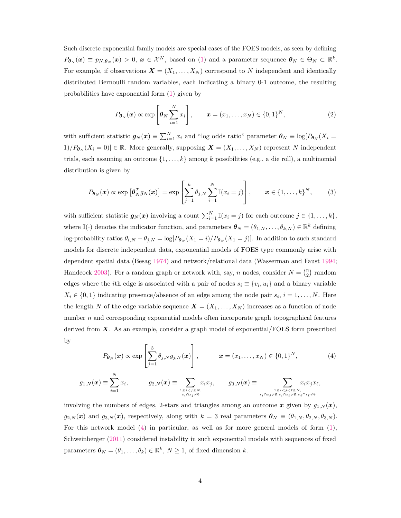Such discrete exponential family models are special cases of the FOES models, as seen by defining  $P_{\boldsymbol{\theta}_N}(\boldsymbol{x}) \equiv p_{N,\boldsymbol{\theta}_N}(\boldsymbol{x}) > 0, \ \boldsymbol{x} \in \mathcal{X}^N$ , based on [\(1\)](#page-2-1) and a parameter sequence  $\boldsymbol{\theta}_N \in \Theta_N \subset \mathbb{R}^k$ . For example, if observations  $\mathbf{X} = (X_1, \ldots, X_N)$  correspond to N independent and identically distributed Bernoulli random variables, each indicating a binary 0-1 outcome, the resulting probabilities have exponential form [\(1\)](#page-2-1) given by

<span id="page-3-1"></span>
$$
P_{\boldsymbol{\theta}_N}(\boldsymbol{x}) \propto \exp\left[\boldsymbol{\theta}_N \sum_{i=1}^N x_i\right], \qquad \boldsymbol{x} = (x_1, \dots, x_N) \in \{0, 1\}^N, \tag{2}
$$

with sufficient statistic  $g_N(x) \equiv \sum_{i=1}^N x_i$  and "log odds ratio" parameter  $\theta_N \equiv \log[P_{\theta_N}(X_i =$  $1)/P_{\theta_N}(X_i = 0) \in \mathbb{R}$ . More generally, supposing  $\mathbf{X} = (X_1, \ldots, X_N)$  represent *N* independent trials, each assuming an outcome {1*, . . . , k*} among *k* possibilities (e.g., a die roll), a multinomial distribution is given by

<span id="page-3-2"></span>
$$
P_{\boldsymbol{\theta}_N}(\boldsymbol{x}) \propto \exp\left[\boldsymbol{\theta}_N^T g_N(\boldsymbol{x})\right] = \exp\left[\sum_{j=1}^k \theta_{j,N} \sum_{i=1}^N \mathbb{I}(x_i = j)\right], \qquad \boldsymbol{x} \in \{1, \dots, k\}^N, \tag{3}
$$

with sufficient statistic  $g_N(x)$  involving a count  $\sum_{i=1}^N \mathbb{I}(x_i = j)$  for each outcome  $j \in \{1, \ldots, k\}$ , where  $\mathbb{I}(\cdot)$  denotes the indicator function, and parameters  $\boldsymbol{\theta}_N = (\theta_{1,N}, \dots, \theta_{k,N}) \in \mathbb{R}^k$  defining log-probability ratios  $\theta_{i,N} - \theta_{j,N} = \log[P_{\theta_N}(X_1 = i)/P_{\theta_N}(X_1 = j)]$ . In addition to such standard models for discrete independent data, exponential models of FOES type commonly arise with dependent spatial data (Besag [1974\)](#page-28-3) and network/relational data (Wasserman and Faust [1994;](#page-28-4) Handcock [2003\)](#page-28-2). For a random graph or network with, say, *n* nodes, consider  $N = \binom{n}{2}$  random edges where the *i*th edge is associated with a pair of nodes  $s_i \equiv \{v_i, u_i\}$  and a binary variable  $X_i \in \{0, 1\}$  indicating presence/absence of an edge among the node pair  $s_i$ ,  $i = 1, ..., N$ . Here the length *N* of the edge variable sequence  $\mathbf{X} = (X_1, \ldots, X_N)$  increases as a function of node number *n* and corresponding exponential models often incorporate graph topographical features derived from *X*. As an example, consider a graph model of exponential/FOES form prescribed by

<span id="page-3-0"></span>
$$
P_{\boldsymbol{\theta}_N}(\boldsymbol{x}) \propto \exp\left[\sum_{j=1}^3 \theta_{j,N} g_{j,N}(\boldsymbol{x})\right], \qquad \boldsymbol{x} = (x_1, \dots, x_N) \in \{0, 1\}^N, \tag{4}
$$

$$
g_{1,N}(\boldsymbol{x})\equiv\sum_{i=1}^Nx_i,\qquad\quad g_{2,N}(\boldsymbol{x})\equiv\sum_{1\leq i
$$

involving the numbers of edges, 2-stars and triangles among an outcome  $x$  given by  $g_{1,N}(x)$ ,  $g_{2,N}(\boldsymbol{x})$  and  $g_{3,N}(\boldsymbol{x})$ , respectively, along with  $k=3$  real parameters  $\boldsymbol{\theta}_N \equiv (\theta_{1,N}, \theta_{2,N}, \theta_{3,N}).$ For this network model [\(4\)](#page-3-0) in particular, as well as for more general models of form [\(1\)](#page-2-1), Schweinberger [\(2011\)](#page-28-1) considered instability in such exponential models with sequences of fixed parameters  $\boldsymbol{\theta}_N = (\theta_1, \dots, \theta_k) \in \mathbb{R}^k$ ,  $N \geq 1$ , of fixed dimension *k*.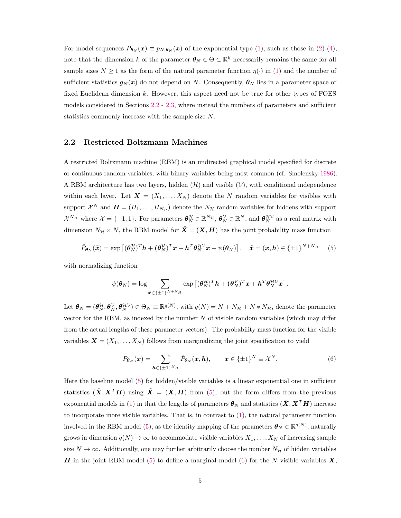For model sequences  $P_{\theta_N}(x) \equiv p_{N,\theta_N}(x)$  of the exponential type [\(1\)](#page-2-1), such as those in [\(2\)](#page-3-1)-[\(4\)](#page-3-0), note that the dimension *k* of the parameter  $\boldsymbol{\theta}_N \in \Theta \subset \mathbb{R}^k$  necessarily remains the same for all sample sizes  $N \geq 1$  as the form of the natural parameter function  $\eta(\cdot)$  in [\(1\)](#page-2-1) and the number of sufficient statistics  $g_N(x)$  do not depend on *N*. Consequently,  $\theta_N$  lies in a parameter space of fixed Euclidean dimension *k*. However, this aspect need not be true for other types of FOES models considered in Sections [2.2](#page-4-0) - [2.3,](#page-5-0) where instead the numbers of parameters and sufficient statistics commonly increase with the sample size *N*.

#### <span id="page-4-0"></span>**2.2 Restricted Boltzmann Machines**

A restricted Boltzmann machine (RBM) is an undirected graphical model specified for discrete or continuous random variables, with binary variables being most common (cf. Smolensky [1986\)](#page-28-5). A RBM architecture has two layers, hidden  $(\mathcal{H})$  and visible  $(\mathcal{V})$ , with conditional independence within each layer. Let  $\mathbf{X} = (X_1, \ldots, X_N)$  denote the *N* random variables for visibles with support  $\mathcal{X}^N$  and  $\mathbf{H} = (H_1, \ldots, H_{N_\mathcal{H}})$  denote the  $N_\mathcal{H}$  random variables for hiddens with support  $\mathcal{X}^{N_{\mathcal{H}}}$  where  $\mathcal{X} = \{-1, 1\}$ . For parameters  $\boldsymbol{\theta}_N^{\mathcal{H}} \in \mathbb{R}^{N_{\mathcal{H}}}$ ,  $\boldsymbol{\theta}_N^{\mathcal{V}} \in \mathbb{R}^N$ , and  $\boldsymbol{\theta}_N^{\mathcal{H}\mathcal{V}}$  as a real matrix with dimension  $N_{\mathcal{H}} \times N$ , the RBM model for  $\tilde{\mathbf{X}} = (\mathbf{X}, \mathbf{H})$  has the joint probability mass function

<span id="page-4-1"></span>
$$
\tilde{P}_{\boldsymbol{\theta}_N}(\tilde{\boldsymbol{x}}) = \exp\left[ (\boldsymbol{\theta}_N^{\mathcal{H}})^T \boldsymbol{h} + (\boldsymbol{\theta}_N^{\mathcal{V}})^T \boldsymbol{x} + \boldsymbol{h}^T \boldsymbol{\theta}_N^{\mathcal{H}\mathcal{V}} \boldsymbol{x} - \psi(\boldsymbol{\theta}_N) \right], \quad \tilde{\boldsymbol{x}} = (\boldsymbol{x}, \boldsymbol{h}) \in \{\pm 1\}^{N + N_{\mathcal{H}}} \tag{5}
$$

with normalizing function

$$
\psi(\boldsymbol{\theta}_N) = \log \sum_{\tilde{\boldsymbol{x}} \in \{\pm 1\}^{N+N_H}} \exp \left[ (\boldsymbol{\theta}_N^{\mathcal{H}})^T \boldsymbol{h} + (\boldsymbol{\theta}_N^{\mathcal{V}})^T \boldsymbol{x} + \boldsymbol{h}^T \boldsymbol{\theta}_N^{\mathcal{H}\mathcal{V}} \boldsymbol{x} \right].
$$

Let  $\theta_N = (\theta_N^{\mathcal{H}}, \theta_N^{\mathcal{V}}, \theta_N^{\mathcal{H}\mathcal{V}}) \in \Theta_N \equiv \mathbb{R}^{q(N)}$ , with  $q(N) = N + N_{\mathcal{H}} + N * N_{\mathcal{H}}$ , denote the parameter vector for the RBM, as indexed by the number *N* of visible random variables (which may differ from the actual lengths of these parameter vectors). The probability mass function for the visible variables  $\mathbf{X} = (X_1, \ldots, X_N)$  follows from marginalizing the joint specification to yield

<span id="page-4-2"></span>
$$
P_{\boldsymbol{\theta}_N}(\boldsymbol{x}) = \sum_{\boldsymbol{h} \in \{\pm 1\}^{N_{\mathcal{H}}}} \tilde{P}_{\boldsymbol{\theta}_N}(\boldsymbol{x}, \boldsymbol{h}), \qquad \boldsymbol{x} \in \{\pm 1\}^N \equiv \mathcal{X}^N. \tag{6}
$$

Here the baseline model [\(5\)](#page-4-1) for hidden/visible variables is a linear exponential one in sufficient statistics  $(\tilde{X}, X^T H)$  using  $\tilde{X} = (X, H)$  from [\(5\)](#page-4-1), but the form differs from the previous exponential models in [\(1\)](#page-2-1) in that the lengths of parameters  $\theta_N$  and statistics  $(\tilde{X}, X^T H)$  increase to incorporate more visible variables. That is, in contrast to [\(1\)](#page-2-1), the natural parameter function involved in the RBM model [\(5\)](#page-4-1), as the identity mapping of the parameters  $\boldsymbol{\theta}_N \in \mathbb{R}^{q(N)}$ , naturally grows in dimension  $q(N) \to \infty$  to accommodate visible variables  $X_1, \ldots, X_N$  of increasing sample size  $N \to \infty$ . Additionally, one may further arbitrarily choose the number  $N_H$  of hidden variables *H* in the joint RBM model [\(5\)](#page-4-1) to define a marginal model [\(6\)](#page-4-2) for the *N* visible variables *X*,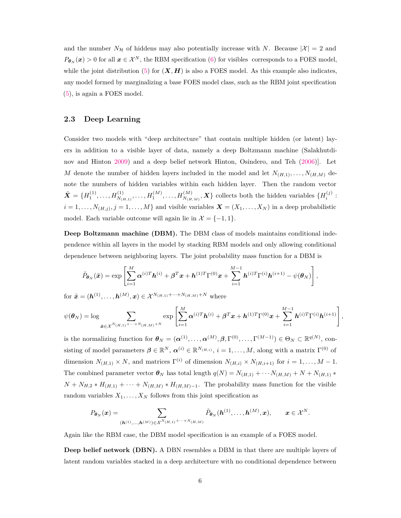and the number  $N_{\mathcal{H}}$  of hiddens may also potentially increase with *N*. Because  $|\mathcal{X}| = 2$  and  $P_{\theta_N}(x) > 0$  for all  $x \in \mathcal{X}^N$ , the RBM specification [\(6\)](#page-4-2) for visibles corresponds to a FOES model, while the joint distribution [\(5\)](#page-4-1) for  $(X, H)$  is also a FOES model. As this example also indicates, any model formed by marginalizing a base FOES model class, such as the RBM joint specification [\(5\)](#page-4-1), is again a FOES model.

#### <span id="page-5-0"></span>**2.3 Deep Learning**

Consider two models with "deep architecture" that contain multiple hidden (or latent) layers in addition to a visible layer of data, namely a deep Boltzmann machine (Salakhutdinov and Hinton [2009\)](#page-28-6) and a deep belief network Hinton, Osindero, and Teh [\(2006\)](#page-28-7)]. Let *M* denote the number of hidden layers included in the model and let  $N_{(H,1)}, \ldots, N_{(H,M)}$  denote the numbers of hidden variables within each hidden layer. Then the random vector  $\tilde{\mathbf{X}} = \{H_1^{(1)}, \ldots, H_{N_{(H,1)}}^{(1)}, \ldots, H_1^{(M)}, \ldots, H_{N_{(H,M)}}^{(M)}, \mathbf{X}\}\$ collects both the hidden variables  $\{H_i^{(j)}\}$ :  $i = 1, \ldots, N_{(H,j)}, j = 1, \ldots, M$  and visible variables  $\boldsymbol{X} = (X_1, \ldots, X_N)$  in a deep probabilistic model. Each variable outcome will again lie in  $\mathcal{X} = \{-1, 1\}.$ 

**Deep Boltzmann machine (DBM).** The DBM class of models maintains conditional independence within all layers in the model by stacking RBM models and only allowing conditional dependence between neighboring layers. The joint probability mass function for a DBM is

$$
\tilde{P}_{\boldsymbol{\theta}_N}(\tilde{\boldsymbol{x}}) = \exp\left[\sum_{i=1}^M \boldsymbol{\alpha}^{(i)T} \boldsymbol{h}^{(i)} + \boldsymbol{\beta}^T \boldsymbol{x} + \boldsymbol{h}^{(1)T} \boldsymbol{\Gamma}^{(0)} \boldsymbol{x} + \sum_{i=1}^{M-1} \boldsymbol{h}^{(i)T} \boldsymbol{\Gamma}^{(i)} \boldsymbol{h}^{(i+1)} - \psi(\boldsymbol{\theta}_N)\right],
$$

for  $\tilde{\bm{x}} = (\bm{h}^{(1)}, \dots, \bm{h}^{(M)}, \bm{x}) \in \mathcal{X}^{N_{(H,1)} + \dots + N_{(H,M)} + N}$  where

$$
\psi(\boldsymbol{\theta}_N) = \log \sum_{\tilde{\boldsymbol{x}} \in \mathcal{X}^{N_{(H,1)}} + \cdots + N_{(H,M)} + N} \exp \left[ \sum_{i=1}^M \boldsymbol{\alpha}^{(i)T} \boldsymbol{h}^{(i)} + \boldsymbol{\beta}^T \boldsymbol{x} + \boldsymbol{h}^{(1)T} \boldsymbol{\Gamma}^{(0)} \boldsymbol{x} + \sum_{i=1}^{M-1} \boldsymbol{h}^{(i)T} \boldsymbol{\Gamma}^{(i)} \boldsymbol{h}^{(i+1)} \right],
$$

is the normalizing function for  $\boldsymbol{\theta}_N = (\boldsymbol{\alpha}^{(1)}, \dots, \boldsymbol{\alpha}^{(M)}, \boldsymbol{\beta}, \Gamma^{(0)}, \dots, \Gamma^{(M-1)}) \in \Theta_N \subset \mathbb{R}^{q(N)}$ , consisting of model parameters  $\beta \in \mathbb{R}^N$ ,  $\alpha^{(i)} \in \mathbb{R}^{N_{(H,i)}}, i = 1, \ldots, M$ , along with a matrix  $\Gamma^{(0)}$  of dimension  $N_{(H,1)} \times N$ , and matrices  $\Gamma^{(i)}$  of dimension  $N_{(H,i)} \times N_{(H,i+1)}$  for  $i = 1, \ldots, M-1$ . The combined parameter vector  $\theta_N$  has total length  $q(N) = N_{(H,1)} + \cdots N_{(H,M)} + N + N_{(H,1)} *$  $N + N_{H,2} * H_{(H,1)} + \cdots + N_{(H,M)} * H_{(H,M)-1}$ . The probability mass function for the visible random variables  $X_1, \ldots, X_N$  follows from this joint specification as

$$
P_{\theta_N}(x) = \sum_{(\bm{h}^{(1)}, ..., \bm{h}^{(M)}) \in \mathcal{X}^{N_{(H,1)} + ... + N_{(H,M)}}} \tilde{P}_{\theta_N}(\bm{h}^{(1)}, ..., \bm{h}^{(M)}, x), \qquad x \in \mathcal{X}^N.
$$

Again like the RBM case, the DBM model specification is an example of a FOES model.

**Deep belief network (DBN).** A DBN resembles a DBM in that there are multiple layers of latent random variables stacked in a deep architecture with no conditional dependence between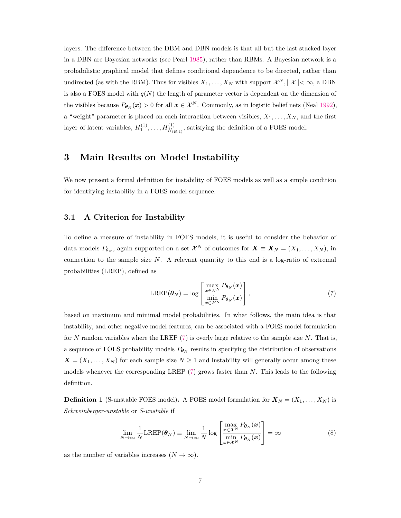layers. The difference between the DBM and DBN models is that all but the last stacked layer in a DBN are Bayesian networks (see Pearl [1985\)](#page-28-8), rather than RBMs. A Bayesian network is a probabilistic graphical model that defines conditional dependence to be directed, rather than undirected (as with the RBM). Thus for visibles  $X_1, \ldots, X_N$  with support  $\mathcal{X}^N, |\mathcal{X}| < \infty$ , a DBN is also a FOES model with  $q(N)$  the length of parameter vector is dependent on the dimension of the visibles because  $P_{\theta_N}(x) > 0$  for all  $x \in \mathcal{X}^N$ . Commonly, as in logistic belief nets (Neal [1992\)](#page-28-9), a "weight" parameter is placed on each interaction between visibles,  $X_1, \ldots, X_N$ , and the first layer of latent variables,  $H_1^{(1)}, \ldots, H_{N_{(H,1)}}^{(1)}$ , satisfying the definition of a FOES model.

### <span id="page-6-0"></span>**3 Main Results on Model Instability**

We now present a formal definition for instability of FOES models as well as a simple condition for identifying instability in a FOES model sequence.

#### <span id="page-6-3"></span>**3.1 A Criterion for Instability**

To define a measure of instability in FOES models, it is useful to consider the behavior of data models  $P_{\theta_N}$ , again supported on a set  $\mathcal{X}^N$  of outcomes for  $\mathbf{X} \equiv \mathbf{X}_N = (X_1, \ldots, X_N)$ , in connection to the sample size *N*. A relevant quantity to this end is a log-ratio of extremal probabilities (LREP), defined as

<span id="page-6-1"></span>
$$
LREF(\boldsymbol{\theta}_{N})=\log\left[\frac{\max\limits_{\boldsymbol{x}\in\mathcal{X}^{N}}P_{\boldsymbol{\theta}_{N}}(\boldsymbol{x})}{\min\limits_{\boldsymbol{x}\in\mathcal{X}^{N}}P_{\boldsymbol{\theta}_{N}}(\boldsymbol{x})}\right],
$$
\n(7)

based on maximum and minimal model probabilities. In what follows, the main idea is that instability, and other negative model features, can be associated with a FOES model formulation for *N* random variables where the LREP [\(7\)](#page-6-1) is overly large relative to the sample size *N*. That is, a sequence of FOES probability models  $P_{\theta_N}$  results in specifying the distribution of observations  $\mathbf{X} = (X_1, \ldots, X_N)$  for each sample size  $N \geq 1$  and instability will generally occur among these models whenever the corresponding LREP [\(7\)](#page-6-1) grows faster than *N*. This leads to the following definition.

**Definition 1** (S-unstable FOES model). A FOES model formulation for  $X_N = (X_1, \ldots, X_N)$  is *Schweinberger-unstable* or *S-unstable* if

<span id="page-6-2"></span>
$$
\lim_{N \to \infty} \frac{1}{N} \text{LREF}(\boldsymbol{\theta}_N) \equiv \lim_{N \to \infty} \frac{1}{N} \log \left[ \frac{\max_{\boldsymbol{x} \in \mathcal{X}^N} P_{\boldsymbol{\theta}_N}(\boldsymbol{x})}{\min_{\boldsymbol{x} \in \mathcal{X}^N} P_{\boldsymbol{\theta}_N}(\boldsymbol{x})} \right] = \infty
$$
\n(8)

as the number of variables increases  $(N \to \infty)$ .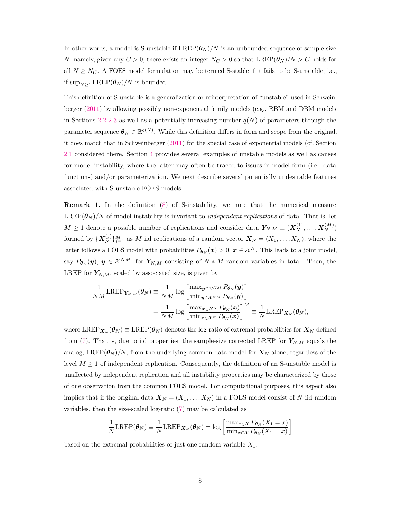In other words, a model is S-unstable if  $LREP(\theta_N)/N$  is an unbounded sequence of sample size *N*; namely, given any  $C > 0$ , there exists an integer  $N_C > 0$  so that  $LREP(\theta_N)/N > C$  holds for all  $N \geq N_C$ . A FOES model formulation may be termed S-stable if it fails to be S-unstable, i.e., if  $\sup_{N>1} \text{LREF}(\theta_N)/N$  is bounded.

This definition of S-unstable is a generalization or reinterpretation of "unstable" used in Schweinberger [\(2011\)](#page-28-1) by allowing possibly non-exponential family models (e.g., RBM and DBM models in Sections [2.2-](#page-4-0)[2.3](#page-5-0) as well as a potentially increasing number  $q(N)$  of parameters through the parameter sequence  $\boldsymbol{\theta}_N \in \mathbb{R}^{q(N)}$ . While this definition differs in form and scope from the original, it does match that in Schweinberger [\(2011\)](#page-28-1) for the special case of exponential models (cf. Section [2.1](#page-2-2) considered there. Section [4](#page-11-0) provides several examples of unstable models as well as causes for model instability, where the latter may often be traced to issues in model form (i.e., data functions) and/or parameterization. We next describe several potentially undesirable features associated with S-unstable FOES models.

**Remark 1.** In the definition [\(8\)](#page-6-2) of S-instability, we note that the numerical measure  $LREP(\theta_N)/N$  of model instability is invariant to *independent replications* of data. That is, let  $M \geq 1$  denote a possible number of replications and consider data  $Y_{N,M} \equiv (X_N^{(1)}, \ldots, X_N^{(M)})$ formed by  ${\{X_N^{(j)}\}}_{j=1}^M$  as *M* iid replications of a random vector  $X_N = (X_1, \ldots, X_N)$ , where the latter follows a FOES model with probabilities  $P_{\theta_N}(x) > 0$ ,  $x \in \mathcal{X}^N$ . This leads to a joint model, say  $P_{\theta_N}(y)$ ,  $y \in \mathcal{X}^{NM}$ , for  $Y_{N,M}$  consisting of  $N * M$  random variables in total. Then, the LREP for  $Y_{N,M}$ , scaled by associated size, is given by

$$
\frac{1}{NM} \text{LREP}_{\mathbf{Y}_{N,M}}(\boldsymbol{\theta}_N) \equiv \frac{1}{NM} \log \left[ \frac{\max_{\boldsymbol{y} \in \mathcal{X}^{NM}} P_{\boldsymbol{\theta}_N}(\boldsymbol{y})}{\min_{\boldsymbol{y} \in \mathcal{X}^{NM}} P_{\boldsymbol{\theta}_N}(\boldsymbol{y})} \right]
$$
\n
$$
= \frac{1}{NM} \log \left[ \frac{\max_{\boldsymbol{x} \in \mathcal{X}^N} P_{\boldsymbol{\theta}_N}(\boldsymbol{x})}{\min_{\boldsymbol{x} \in \mathcal{X}^N} P_{\boldsymbol{\theta}_N}(\boldsymbol{x})} \right]^M \equiv \frac{1}{N} \text{LREP}_{\mathbf{X}_N}(\boldsymbol{\theta}_N),
$$

where  $\text{LREF}_{\mathbf{X}_N}(\boldsymbol{\theta}_N) \equiv \text{LREF}(\boldsymbol{\theta}_N)$  denotes the log-ratio of extremal probabilities for  $\mathbf{X}_N$  defined from [\(7\)](#page-6-1). That is, due to iid properties, the sample-size corrected LREP for  $Y_{N,M}$  equals the analog, LREP( $\theta_N$ )/N, from the underlying common data model for  $X_N$  alone, regardless of the level  $M \geq 1$  of independent replication. Consequently, the definition of an S-unstable model is unaffected by independent replication and all instability properties may be characterized by those of one observation from the common FOES model. For computational purposes, this aspect also implies that if the original data  $\mathbf{X}_N = (X_1, \ldots, X_N)$  in a FOES model consist of *N* iid random variables, then the size-scaled log-ratio [\(7\)](#page-6-1) may be calculated as

$$
\frac{1}{N} \text{LREF}(\boldsymbol{\theta}_N) \equiv \frac{1}{N} \text{LREF}_{\mathbf{X}_N}(\boldsymbol{\theta}_N) = \log \left[ \frac{\max_{x \in \mathcal{X}} P_{\boldsymbol{\theta}_N}(X_1 = x)}{\min_{x \in \mathcal{X}} P_{\boldsymbol{\theta}_N}(X_1 = x)} \right]
$$

based on the extremal probabilities of just one random variable *X*1.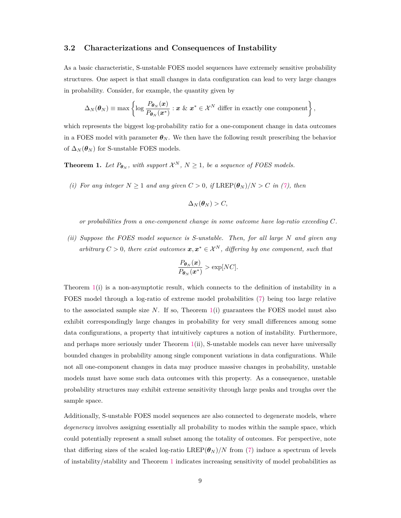#### **3.2 Characterizations and Consequences of Instability**

As a basic characteristic, S-unstable FOES model sequences have extremely sensitive probability structures. One aspect is that small changes in data configuration can lead to very large changes in probability. Consider, for example, the quantity given by

$$
\Delta_N(\boldsymbol{\theta}_N) \equiv \max \left\{ \log \frac{P_{\boldsymbol{\theta}_N}(\boldsymbol{x})}{P_{\boldsymbol{\theta}_N}(\boldsymbol{x}^*)} : \boldsymbol{x} \& \boldsymbol{x}^* \in \mathcal{X}^N \text{ differ in exactly one component} \right\},\
$$

which represents the biggest log-probability ratio for a one-component change in data outcomes in a FOES model with parameter  $\theta_N$ . We then have the following result prescribing the behavior of  $\Delta_N(\boldsymbol{\theta}_N)$  for S-unstable FOES models.

<span id="page-8-0"></span>**Theorem 1.** Let  $P_{\theta_N}$ , with support  $\mathcal{X}^N$ ,  $N \geq 1$ , be a sequence of FOES models.

*(i)* For any integer  $N \geq 1$  and any given  $C > 0$ , if  $\text{LREF}(\theta_N)/N > C$  in [\(7\)](#page-6-1), then

$$
\Delta_N(\boldsymbol{\theta}_N) > C,
$$

*or probabilities from a one-component change in some outcome have log-ratio exceeding C.*

*(ii) Suppose the FOES model sequence is S-unstable. Then, for all large N and given any arbitrary*  $C > 0$ , there exist outcomes  $x, x^* \in \mathcal{X}^N$ , differing by one component, such that

$$
\frac{P_{\boldsymbol{\theta}_N}(\boldsymbol{x})}{P_{\boldsymbol{\theta}_N}(\boldsymbol{x}^*)} > \exp[NC].
$$

Theorem [1\(](#page-8-0)i) is a non-asymptotic result, which connects to the definition of instability in a FOES model through a log-ratio of extreme model probabilities [\(7\)](#page-6-1) being too large relative to the associated sample size *N*. If so, Theorem [1\(](#page-8-0)i) guarantees the FOES model must also exhibit correspondingly large changes in probability for very small differences among some data configurations, a property that intuitively captures a notion of instability. Furthermore, and perhaps more seriously under Theorem [1\(](#page-8-0)ii), S-unstable models can never have universally bounded changes in probability among single component variations in data configurations. While not all one-component changes in data may produce massive changes in probability, unstable models must have some such data outcomes with this property. As a consequence, unstable probability structures may exhibit extreme sensitivity through large peaks and troughs over the sample space.

Additionally, S-unstable FOES model sequences are also connected to degenerate models, where *degeneracy* involves assigning essentially all probability to modes within the sample space, which could potentially represent a small subset among the totality of outcomes. For perspective, note that differing sizes of the scaled log-ratio LREP( $\theta$ *N*)/*N* from [\(7\)](#page-6-1) induce a spectrum of levels of instability/stability and Theorem [1](#page-8-0) indicates increasing sensitivity of model probabilities as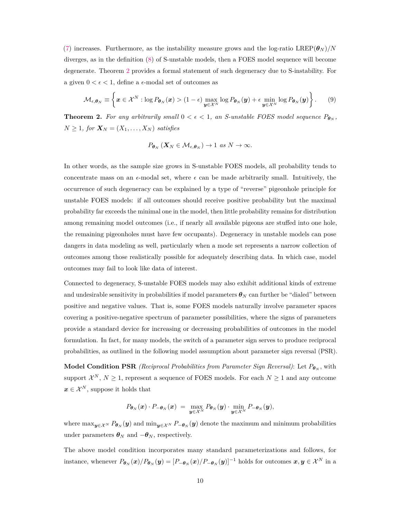[\(7\)](#page-6-1) increases. Furthermore, as the instability measure grows and the log-ratio LREP( $\theta$ *N*)/*N* diverges, as in the definition [\(8\)](#page-6-2) of S-unstable models, then a FOES model sequence will become degenerate. Theorem [2](#page-9-0) provides a formal statement of such degeneracy due to S-instability. For a given  $0 < \epsilon < 1$ , define a  $\epsilon$ -modal set of outcomes as

<span id="page-9-1"></span>
$$
\mathcal{M}_{\epsilon,\theta_N} \equiv \left\{ \boldsymbol{x} \in \mathcal{X}^N : \log P_{\theta_N}(\boldsymbol{x}) > (1-\epsilon) \max_{\boldsymbol{y} \in \mathcal{X}^N} \log P_{\theta_N}(\boldsymbol{y}) + \epsilon \min_{\boldsymbol{y} \in \mathcal{X}^N} \log P_{\theta_N}(\boldsymbol{y}) \right\}.
$$
 (9)

<span id="page-9-0"></span>**Theorem 2.** For any arbitrarily small  $0 < \epsilon < 1$ , an S-unstable FOES model sequence  $P_{\theta_N}$ ,  $N \geq 1$ *, for*  $\mathbf{X}_N = (X_1, \ldots, X_N)$  *satisfies* 

$$
P_{\boldsymbol{\theta}_N}(\boldsymbol{X}_N \in \mathcal{M}_{\epsilon,\boldsymbol{\theta}_N}) \to 1 \text{ as } N \to \infty.
$$

In other words, as the sample size grows in S-unstable FOES models, all probability tends to concentrate mass on an  $\epsilon$ -modal set, where  $\epsilon$  can be made arbitrarily small. Intuitively, the occurrence of such degeneracy can be explained by a type of "reverse" pigeonhole principle for unstable FOES models: if all outcomes should receive positive probability but the maximal probability far exceeds the minimal one in the model, then little probability remains for distribution among remaining model outcomes (i.e., if nearly all available pigeons are stuffed into one hole, the remaining pigeonholes must have few occupants). Degeneracy in unstable models can pose dangers in data modeling as well, particularly when a mode set represents a narrow collection of outcomes among those realistically possible for adequately describing data. In which case, model outcomes may fail to look like data of interest.

Connected to degeneracy, S-unstable FOES models may also exhibit additional kinds of extreme and undesirable sensitivity in probabilities if model parameters  $\theta_N$  can further be "dialed" between positive and negative values. That is, some FOES models naturally involve parameter spaces covering a positive-negative spectrum of parameter possibilities, where the signs of parameters provide a standard device for increasing or decreasing probabilities of outcomes in the model formulation. In fact, for many models, the switch of a parameter sign serves to produce reciprocal probabilities, as outlined in the following model assumption about parameter sign reversal (PSR).

**Model Condition PSR** *(Reciprocal Probabilities from Parameter Sign Reversal)*: Let  $P_{\theta_N}$ , with support  $\mathcal{X}^N$ ,  $N \geq 1$ , represent a sequence of FOES models. For each  $N \geq 1$  and any outcome  $x \in \mathcal{X}^N$ , suppose it holds that

$$
P_{\boldsymbol{\theta}_N}(\boldsymbol{x}) \cdot P_{-\boldsymbol{\theta}_N}(\boldsymbol{x}) = \max_{\boldsymbol{y} \in \mathcal{X}^N} P_{\boldsymbol{\theta}_N}(\boldsymbol{y}) \cdot \min_{\boldsymbol{y} \in \mathcal{X}^N} P_{-\boldsymbol{\theta}_N}(\boldsymbol{y}),
$$

where  $\max_{y \in \mathcal{X}^N} P_{\theta_N}(y)$  and  $\min_{y \in \mathcal{X}^N} P_{-\theta_N}(y)$  denote the maximum and minimum probabilities under parameters  $\boldsymbol{\theta}_N$  and  $-\boldsymbol{\theta}_N$ , respectively.

The above model condition incorporates many standard parameterizations and follows, for instance, whenever  $P_{\boldsymbol{\theta}_N}(\boldsymbol{x})/P_{\boldsymbol{\theta}_N}(\boldsymbol{y}) = [P_{-\boldsymbol{\theta}_N}(\boldsymbol{x})/P_{-\boldsymbol{\theta}_N}(\boldsymbol{y})]^{-1}$  holds for outcomes  $\boldsymbol{x}, \boldsymbol{y} \in \mathcal{X}^N$  in a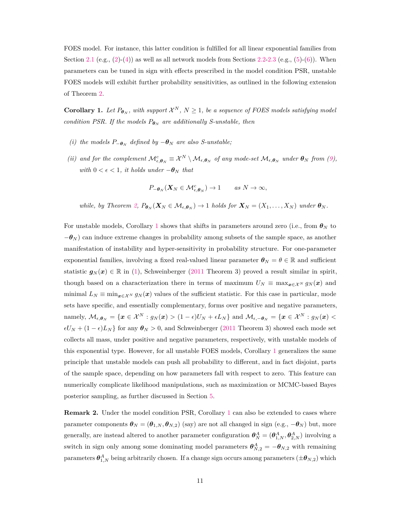FOES model. For instance, this latter condition is fulfilled for all linear exponential families from Section [2.1](#page-2-2) (e.g.,  $(2)-(4)$  $(2)-(4)$  $(2)-(4)$ ) as well as all network models from Sections [2.2-](#page-4-0)[2.3](#page-5-0) (e.g.,  $(5)-(6)$  $(5)-(6)$  $(5)-(6)$ ). When parameters can be tuned in sign with effects prescribed in the model condition PSR, unstable FOES models will exhibit further probability sensitivities, as outlined in the following extension of Theorem [2.](#page-9-0)

<span id="page-10-0"></span>**Corollary 1.** Let  $P_{\theta_N}$ , with support  $\mathcal{X}^N$ ,  $N \geq 1$ , be a sequence of FOES models satisfying model *condition PSR. If the models*  $P_{\theta_N}$  *are additionally S-unstable, then* 

- *(i) the models*  $P_{-\theta_N}$  *defined by*  $-\theta_N$  *are also S-unstable;*
- (ii) and for the complement  $\mathcal{M}_{\epsilon,\theta_N}^c \equiv \mathcal{X}^N \setminus \mathcal{M}_{\epsilon,\theta_N}$  of any mode-set  $\mathcal{M}_{\epsilon,\theta_N}$  under  $\theta_N$  from [\(9\)](#page-9-1), *with*  $0 < \epsilon < 1$ *, it holds under*  $-\theta_N$  *that*

$$
P_{-\theta_N}(\mathbf{X}_N \in \mathcal{M}_{\epsilon,\theta_N}^c) \to 1 \quad \text{as } N \to \infty,
$$

while, by Theorem [2,](#page-9-0)  $P_{\theta_N}(X_N \in \mathcal{M}_{\epsilon,\theta_N}) \to 1$  holds for  $X_N = (X_1,\ldots,X_N)$  under  $\theta_N$ .

For unstable models, Corollary [1](#page-10-0) shows that shifts in parameters around zero (i.e., from  $\theta_N$  to  $-θ$ *N*) can induce extreme changes in probability among subsets of the sample space, as another manifestation of instability and hyper-sensitivity in probability structure. For one-parameter exponential families, involving a fixed real-valued linear parameter  $\theta_N = \theta \in \mathbb{R}$  and sufficient statistic  $g_N(x) \in \mathbb{R}$  in [\(1\)](#page-2-1), Schweinberger [\(2011](#page-28-1) Theorem 3) proved a result similar in spirit, though based on a characterization there in terms of maximum  $U_N \equiv \max_{\mathbf{x} \in \mathcal{X}^N} g_N(\mathbf{x})$  and minimal  $L_N \equiv \min_{\bm{x} \in \mathcal{X}^N} g_N(\bm{x})$  values of the sufficient statistic. For this case in particular, mode sets have specific, and essentially complementary, forms over positive and negative parameters, namely,  $M_{\epsilon,\theta_N} = \{x \in \mathcal{X}^N : g_N(x) > (1-\epsilon)U_N + \epsilon L_N\}$  and  $M_{\epsilon,-\theta_N} = \{x \in \mathcal{X}^N : g_N(x) <$  $\epsilon U_N + (1 - \epsilon)L_N$  for any  $\theta_N > 0$ , and Schweinberger [\(2011](#page-28-1) Theorem 3) showed each mode set collects all mass, under positive and negative parameters, respectively, with unstable models of this exponential type. However, for all unstable FOES models, Corollary [1](#page-10-0) generalizes the same principle that unstable models can push all probability to different, and in fact disjoint, parts of the sample space, depending on how parameters fall with respect to zero. This feature can numerically complicate likelihood manipulations, such as maximization or MCMC-based Bayes posterior sampling, as further discussed in Section [5.](#page-20-0)

**Remark 2.** Under the model condition PSR, Corollary [1](#page-10-0) can also be extended to cases where parameter components  $\theta_N = (\theta_{1,N}, \theta_{N,2})$  (say) are not all changed in sign (e.g.,  $-\theta_N$ ) but, more generally, are instead altered to another parameter configuration  $\theta_N^A = (\theta_{1,N}^A, \theta_{2,N}^A)$  involving a switch in sign only among some dominating model parameters  $\theta_{N,2}^A = -\theta_{N,2}$  with remaining parameters  $\bm{\theta}_{1,N}^A$  being arbitrarily chosen. If a change sign occurs among parameters  $(\pm \bm{\theta}_{N,2})$  which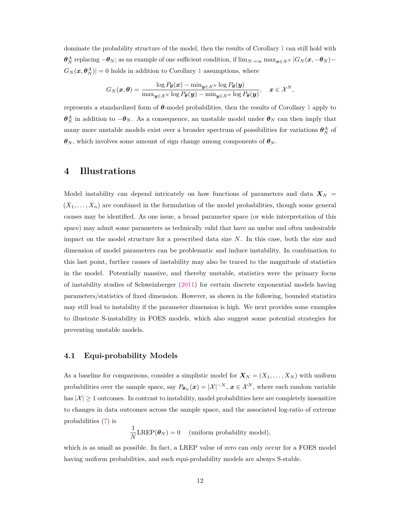dominate the probability structure of the model, then the results of Corollary [1](#page-10-0) can still hold with  $\theta_N^A$  replacing  $-\theta_N$ ; as an example of one sufficient condition, if  $\lim_{N\to\infty} \max_{x\in\mathcal{X}^N} |G_N(x, -\theta_N) G_N(\boldsymbol{x}, \boldsymbol{\theta}_N^A)| = 0$  holds in addition to Corollary [1](#page-10-0) assumptions, where

$$
G_N(\boldsymbol{x}, \boldsymbol{\theta}) = \frac{\log P_{\boldsymbol{\theta}}(\boldsymbol{x}) - \min_{\boldsymbol{y} \in \mathcal{X}^N} \log P_{\boldsymbol{\theta}}(\boldsymbol{y})}{\max_{\boldsymbol{y} \in \mathcal{X}^N} \log P_{\boldsymbol{\theta}}(\boldsymbol{y}) - \min_{\boldsymbol{y} \in \mathcal{X}^N} \log P_{\boldsymbol{\theta}}(\boldsymbol{y})}, \quad \boldsymbol{x} \in \mathcal{X}^N,
$$

represents a standardized form of *θ*-model probabilities, then the results of Corollary [1](#page-10-0) apply to  $\theta_N^A$  in addition to  $-\theta_N$ . As a consequence, an unstable model under  $\theta_N$  can then imply that many more unstable models exist over a broader spectrum of possibilities for variations  $\theta_N^A$  of  $\theta_N$ , which involves some amount of sign change among components of  $\theta_N$ .

### <span id="page-11-0"></span>**4 Illustrations**

Model instability can depend intricately on how functions of parameters and data  $X_N$  =  $(X_1, \ldots, X_n)$  are combined in the formulation of the model probabilities, though some general causes may be identified. As one issue, a broad parameter space (or wide interpretation of this space) may admit some parameters as technically valid that have an undue and often undesirable impact on the model structure for a prescribed data size *N*. In this case, both the size and dimension of model parameters can be problematic and induce instability. In combination to this last point, further causes of instability may also be traced to the magnitude of statistics in the model. Potentially massive, and thereby unstable, statistics were the primary focus of instability studies of Schweinberger [\(2011\)](#page-28-1) for certain discrete exponential models having parameters/statistics of fixed dimension. However, as shown in the following, bounded statistics may still lead to instability if the parameter dimension is high. We next provides some examples to illustrate S-instability in FOES models, which also suggest some potential strategies for preventing unstable models.

#### **4.1 Equi-probability Models**

As a baseline for comparisons, consider a simplistic model for  $X_N = (X_1, \ldots, X_N)$  with uniform probabilities over the sample space, say  $P_{\theta_N}(x) = |\mathcal{X}|^{-N}, x \in \mathcal{X}^N$ , where each random variable has  $|\mathcal{X}| \geq 1$  outcomes. In contrast to instability, model probabilities here are completely insensitive to changes in data outcomes across the sample space, and the associated log-ratio of extreme probabilities [\(7\)](#page-6-1) is

> 1  $\frac{1}{N}$ **LREP**( $\theta_N$ ) = 0 (uniform probability model)*,*

which is as small as possible. In fact, a LREP value of zero can only occur for a FOES model having uniform probabilities, and such equi-probability models are always S-stable.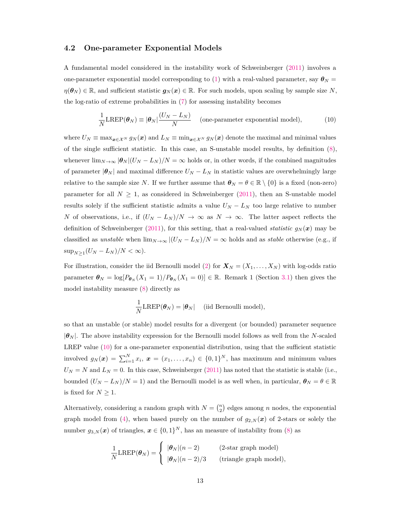#### <span id="page-12-1"></span>**4.2 One-parameter Exponential Models**

A fundamental model considered in the instability work of Schweinberger [\(2011\)](#page-28-1) involves a one-parameter exponential model corresponding to [\(1\)](#page-2-1) with a real-valued parameter, say  $\theta_N =$  $\eta(\theta_N) \in \mathbb{R}$ , and sufficient statistic  $g_N(x) \in \mathbb{R}$ . For such models, upon scaling by sample size *N*, the log-ratio of extreme probabilities in [\(7\)](#page-6-1) for assessing instability becomes

<span id="page-12-0"></span>
$$
\frac{1}{N} \text{LREF}(\boldsymbol{\theta}_N) \equiv |\boldsymbol{\theta}_N| \frac{(U_N - L_N)}{N} \quad \text{(one-parameter exponential model)}, \tag{10}
$$

where  $U_N \equiv \max_{x \in \mathcal{X}^N} g_N(x)$  and  $L_N \equiv \min_{x \in \mathcal{X}^N} g_N(x)$  denote the maximal and minimal values of the single sufficient statistic. In this case, an S-unstable model results, by definition [\(8\)](#page-6-2), whenever  $\lim_{N\to\infty}$   $|\boldsymbol{\theta}_N|(U_N - L_N)/N = \infty$  holds or, in other words, if the combined magnitudes of parameter  $|\theta_N|$  and maximal difference  $U_N - L_N$  in statistic values are overwhelmingly large relative to the sample size *N*. If we further assume that  $\theta_N = \theta \in \mathbb{R} \setminus \{0\}$  is a fixed (non-zero) parameter for all  $N \geq 1$ , as considered in Schweinberger [\(2011\)](#page-28-1), then an S-unstable model results solely if the sufficient statistic admits a value  $U_N - L_N$  too large relative to number *N* of observations, i.e., if  $(U_N - L_N)/N \to \infty$  as  $N \to \infty$ . The latter aspect reflects the definition of Schweinberger [\(2011\)](#page-28-1), for this setting, that a real-valued *statistic*  $g_N(x)$  may be classified as *unstable* when  $\lim_{N\to\infty} |(U_N - L_N)/N| \to \infty$  holds and as *stable* otherwise (e.g., if  $\sup_{N\geq 1} (U_N - L_N)/N < \infty$ ).

For illustration, consider the iid Bernoulli model [\(2\)](#page-3-1) for  $\mathbf{X}_N = (X_1, \ldots, X_N)$  with log-odds ratio parameter  $\theta_N = \log[P_{\theta_N}(X_1 = 1)/P_{\theta_N}(X_1 = 0)] \in \mathbb{R}$ . Remark 1 (Section [3.1\)](#page-6-3) then gives the model instability measure [\(8\)](#page-6-2) directly as

$$
\frac{1}{N} \text{LREF}(\boldsymbol{\theta}_N) = |\boldsymbol{\theta}_N| \quad \text{(iid Bernoulli model)},
$$

so that an unstable (or stable) model results for a divergent (or bounded) parameter sequence  $|\theta_N|$ . The above instability expression for the Bernoulli model follows as well from the *N*-scaled LREP value [\(10\)](#page-12-0) for a one-parameter exponential distribution, using that the sufficient statistic involved  $g_N(x) = \sum_{i=1}^N x_i$ ,  $x = (x_1, \ldots, x_n) \in \{0,1\}^N$ , has maximum and minimum values  $U_N = N$  and  $L_N = 0$ . In this case, Schweinberger [\(2011\)](#page-28-1) has noted that the statistic is stable (i.e., bounded  $(U_N - L_N)/N = 1$ ) and the Bernoulli model is as well when, in particular,  $\theta_N = \theta \in \mathbb{R}$ is fixed for  $N \geq 1$ .

Alternatively, considering a random graph with  $N = \binom{n}{2}$  edges among *n* nodes, the exponential graph model from [\(4\)](#page-3-0), when based purely on the number of  $g_{2,N}(x)$  of 2-stars or solely the number  $g_{3,N}(\boldsymbol{x})$  of triangles,  $\boldsymbol{x} \in \{0,1\}^N$ , has an measure of instability from [\(8\)](#page-6-2) as

$$
\frac{1}{N} \text{LREF}(\boldsymbol{\theta}_N) = \begin{cases} \ |\boldsymbol{\theta}_N| (n-2) & (2\text{-star graph model}) \\ \ |\boldsymbol{\theta}_N| (n-2)/3 & \text{(triangle graph model)}, \end{cases}
$$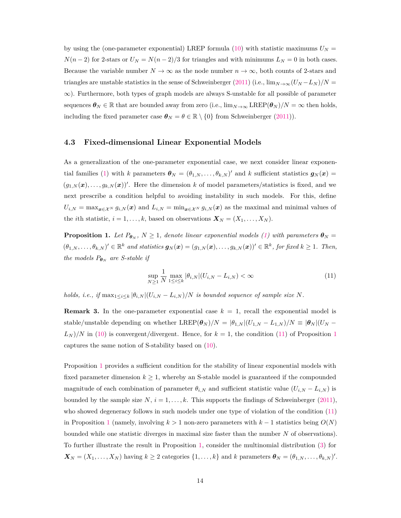by using the (one-parameter exponential) LREP formula [\(10\)](#page-12-0) with statistic maximums  $U_N =$  $N(n-2)$  for 2-stars or  $U_N = N(n-2)/3$  for triangles and with minimums  $L_N = 0$  in both cases. Because the variable number  $N \to \infty$  as the node number  $n \to \infty$ , both counts of 2-stars and triangles are unstable statistics in the sense of Schweinberger [\(2011\)](#page-28-1) (i.e.,  $\lim_{N\to\infty} (U_N - L_N)/N =$ ∞). Furthermore, both types of graph models are always S-unstable for all possible of parameter sequences  $\boldsymbol{\theta}_N \in \mathbb{R}$  that are bounded away from zero (i.e.,  $\lim_{N \to \infty} \text{LREF}(\boldsymbol{\theta}_N)/N = \infty$  then holds, including the fixed parameter case  $\boldsymbol{\theta}_N = \theta \in \mathbb{R} \setminus \{0\}$  from Schweinberger [\(2011\)](#page-28-1)).

#### <span id="page-13-2"></span>**4.3 Fixed-dimensional Linear Exponential Models**

As a generalization of the one-parameter exponential case, we next consider linear exponen-tial families [\(1\)](#page-2-1) with *k* parameters  $\boldsymbol{\theta}_N = (\theta_{1,N}, \dots, \theta_{k,N})'$  and *k* sufficient statistics  $\boldsymbol{g}_N(\boldsymbol{x}) =$  $(g_{1,N}(\boldsymbol{x}),\ldots,g_{k,N}(\boldsymbol{x}))'$ . Here the dimension *k* of model parameters/statistics is fixed, and we next prescribe a condition helpful to avoiding instability in such models. For this, define  $U_{i,N} = \max_{\mathbf{x} \in \mathcal{X}^N} g_{i,N}(\mathbf{x})$  and  $L_{i,N} = \min_{\mathbf{x} \in \mathcal{X}^N} g_{i,N}(\mathbf{x})$  as the maximal and minimal values of the *i*th statistic,  $i = 1, ..., k$ , based on observations  $\mathbf{X}_N = (X_1, ..., X_N)$ .

<span id="page-13-1"></span>**Proposition 1.** *Let*  $P_{\theta_N}$ ,  $N \geq 1$ , *denote linear exponential models [\(1\)](#page-2-1) with parameters*  $\theta_N =$  $(\theta_{1,N},\ldots,\theta_{k,N})' \in \mathbb{R}^k$  and statistics  $g_N(x) = (g_{1,N}(x),\ldots,g_{k,N}(x))' \in \mathbb{R}^k$ , for fixed  $k \geq 1$ . Then, *the models*  $P_{\theta_N}$  *are S-stable if* 

<span id="page-13-0"></span>
$$
\sup_{N\geq 1} \frac{1}{N} \max_{1 \leq i \leq k} |\theta_{i,N}| (U_{i,N} - L_{i,N}) < \infty
$$
\n(11)

*holds, i.e., if*  $\max_{1 \le i \le k} |\theta_{i,N}|(U_{i,N} - L_{i,N})/N$  *is bounded sequence of sample size N.* 

**Remark 3.** In the one-parameter exponential case  $k = 1$ , recall the exponential model is stable/unstable depending on whether LREP( $\theta_N$ )/N =  $|\theta_{1,N}|(U_{1,N} - L_{1,N})/N \equiv |\theta_N|(U_N L_N$ )/N in [\(10\)](#page-12-0) is convergent/divergent. Hence, for  $k = 1$  $k = 1$ , the condition [\(11\)](#page-13-0) of Proposition 1 captures the same notion of S-stability based on [\(10\)](#page-12-0).

Proposition [1](#page-13-1) provides a sufficient condition for the stability of linear exponential models with fixed parameter dimension  $k \geq 1$ , whereby an S-stable model is guaranteed if the compounded magnitude of each combination of parameter  $\theta_{i,N}$  and sufficient statistic value  $(U_{i,N} - L_{i,N})$  is bounded by the sample size  $N$ ,  $i = 1, \ldots, k$ . This supports the findings of Schweinberger [\(2011\)](#page-28-1), who showed degeneracy follows in such models under one type of violation of the condition [\(11\)](#page-13-0) in Proposition [1](#page-13-1) (namely, involving  $k > 1$  non-zero parameters with  $k - 1$  statistics being  $O(N)$ ) bounded while one statistic diverges in maximal size faster than the number *N* of observations). To further illustrate the result in Proposition [1,](#page-13-1) consider the multinomial distribution [\(3\)](#page-3-2) for  $\mathbf{X}_N = (X_1, \ldots, X_N)$  having  $k \geq 2$  categories  $\{1, \ldots, k\}$  and  $k$  parameters  $\boldsymbol{\theta}_N = (\theta_{1,N}, \ldots, \theta_{k,N})'$ .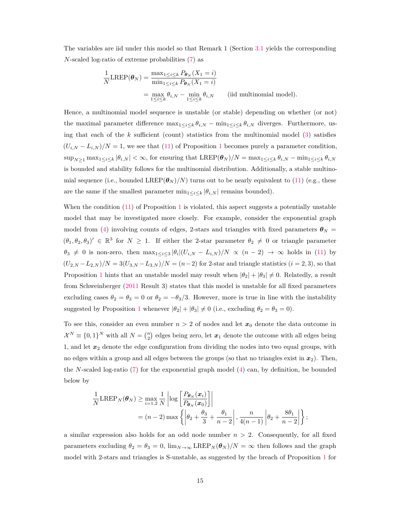The variables are iid under this model so that Remark 1 (Section [3.1](#page-6-3) yields the corresponding *N*-scaled log-ratio of extreme probabilities [\(7\)](#page-6-1) as

$$
\frac{1}{N} \text{LREF}(\theta_N) = \frac{\max_{1 \le i \le k} P_{\theta_N}(X_1 = i)}{\min_{1 \le i \le k} P_{\theta_N}(X_1 = i)}
$$
\n
$$
= \max_{1 \le i \le k} \theta_{i,N} - \min_{1 \le i \le k} \theta_{i,N} \qquad \text{(iid multinomial model)}.
$$

Hence, a multinomial model sequence is unstable (or stable) depending on whether (or not) the maximal parameter difference  $\max_{1 \leq i \leq k} \theta_{i,N} - \min_{1 \leq i \leq k} \theta_{i,N}$  diverges. Furthermore, using that each of the  $k$  sufficient (count) statistics from the multinomial model  $(3)$  satisfies  $(U_{i,N} - L_{i,N})/N = 1$  $(U_{i,N} - L_{i,N})/N = 1$ , we see that [\(11\)](#page-13-0) of Proposition 1 becomes purely a parameter condition,  $\sup_{N>1} \max_{1 \leq i \leq k} |\theta_{i,N}| < \infty$ , for ensuring that  $\text{LREP}(\boldsymbol{\theta}_N)/N = \max_{1 \leq i \leq k} \theta_{i,N} - \min_{1 \leq i \leq k} \theta_{i,N}$ is bounded and stability follows for the multinomial distribution. Additionally, a stable multinomial sequence (i.e., bounded LREP $(\theta_N)/N$ ) turns out to be nearly equivalent to [\(11\)](#page-13-0) (e.g., these are the same if the smallest parameter  $\min_{1 \leq i \leq k} |\theta_{i,N}|$  remains bounded).

When the condition  $(11)$  of Proposition [1](#page-13-1) is violated, this aspect suggests a potentially unstable model that may be investigated more closely. For example, consider the exponential graph model from [\(4\)](#page-3-0) involving counts of edges, 2-stars and triangles with fixed parameters  $\theta_N =$  $(\theta_1, \theta_2, \theta_3)' \in \mathbb{R}^3$  for  $N \geq 1$ . If either the 2-star parameter  $\theta_2 \neq 0$  or triangle parameter  $\theta_3 \neq 0$  is non-zero, then  $\max_{1 \leq i \leq 3} |\theta_i| (U_{i,N} - L_{i,N})/N \propto (n-2) \to \infty$  holds in [\(11\)](#page-13-0) by  $(U_{2,N} - L_{2,N})/N = 3(U_{3,N} - L_{3,N})/N = (n-2)$  for 2-star and triangle statistics  $(i = 2, 3)$ , so that Proposition [1](#page-13-1) hints that an unstable model may result when  $|\theta_2| + |\theta_3| \neq 0$ . Relatedly, a result from Schweinberger [\(2011](#page-28-1) Result 3) states that this model is unstable for all fixed parameters excluding cases  $\theta_2 = \theta_3 = 0$  or  $\theta_2 = -\theta_3/3$ . However, more is true in line with the instability suggested by Proposition [1](#page-13-1) whenever  $|\theta_2| + |\theta_3| \neq 0$  (i.e., excluding  $\theta_2 = \theta_3 = 0$ ).

To see this, consider an even number  $n > 2$  of nodes and let  $x_0$  denote the data outcome in  $\mathcal{X}^N \equiv \{0,1\}^N$  with all  $N = \binom{n}{2}$  edges being zero, let  $x_1$  denote the outcome with all edges being 1, and let  $x_2$  denote the edge configuration from dividing the nodes into two equal groups, with no edges within a group and all edges between the groups (so that no triangles exist in  $x_2$ ). Then, the *N*-scaled log-ratio [\(7\)](#page-6-1) for the exponential graph model [\(4\)](#page-3-0) can, by definition, be bounded below by

$$
\frac{1}{N} \text{LREP}_N(\theta_N) \ge \max_{i=1,2} \frac{1}{N} \left| \log \left[ \frac{P_{\theta_N}(x_i)}{P_{\theta_N}(x_0)} \right] \right|
$$
\n
$$
= (n-2) \max \left\{ \left| \theta_2 + \frac{\theta_3}{3} + \frac{\theta_1}{n-2} \right|, \frac{n}{4(n-1)} \left| \theta_2 + \frac{8\theta_1}{n-2} \right| \right\};
$$

a similar expression also holds for an odd node number  $n > 2$ . Consequently, for all fixed parameters excluding  $\theta_2 = \theta_3 = 0$ ,  $\lim_{N \to \infty} \text{LREP}_N(\theta_N)/N = \infty$  then follows and the graph model with 2-stars and triangles is S-unstable, as suggested by the breach of Proposition [1](#page-13-1) for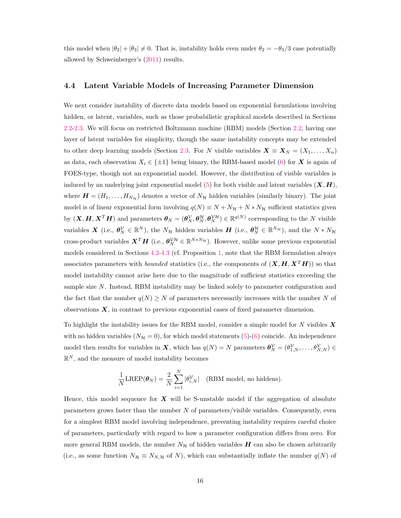this model when  $|\theta_2| + |\theta_3| \neq 0$ . That is, instability holds even under  $\theta_2 = -\theta_3/3$  case potentially allowed by Schweinberger's [\(2011\)](#page-28-1) results.

#### **4.4 Latent Variable Models of Increasing Parameter Dimension**

We next consider instability of discrete data models based on exponential formulations involving hidden, or latent, variables, such as those probabilistic graphical models described in Sections [2.2](#page-4-0)[-2.3.](#page-5-0) We will focus on restricted Boltzmann machine (RBM) models (Section [2.2,](#page-4-0) having one layer of latent variables for simplicity, though the same instability concepts may be extended to other deep learning models (Section [2.3.](#page-5-0) For *N* visible variables  $\mathbf{X} \equiv \mathbf{X}_N = (X_1, \ldots, X_n)$ as data, each observation  $X_i \in \{\pm 1\}$  being binary, the RBM-based model [\(6\)](#page-4-2) for *X* is again of FOES-type, though not an exponential model. However, the distribution of visible variables is induced by an underlying joint exponential model [\(5\)](#page-4-1) for both visible and latent variables  $(X, H)$ , where  $\mathbf{H} = (H_1, \ldots, H_{N_{\mathcal{H}}} )$  denotes a vector of  $N_{\mathcal{H}}$  hidden variables (similarly binary). The joint model is of linear exponential form involving  $q(N) \equiv N + N_H + N*N_H$  sufficient statistics given by  $(X, H, X^T H)$  and parameters  $\theta_N = (\theta_N^{\mathcal{V}}, \theta_N^{\mathcal{H}}, \theta_N^{\mathcal{V}H}) \in \mathbb{R}^{q(N)}$  corresponding to the N visible variables  $\boldsymbol{X}$  (i.e.,  $\boldsymbol{\theta}_{N}^{\mathcal{V}} \in \mathbb{R}^{N}$ ), the  $N_{\mathcal{H}}$  hidden variables  $\boldsymbol{H}$  (i.e.,  $\boldsymbol{\theta}_{N}^{\mathcal{H}} \in \mathbb{R}^{N_{\mathcal{H}}}$ ), and the  $N*N_{\mathcal{H}}$ cross-product variables  $X^T H$  (i.e.,  $\theta_N^{\gamma H} \in \mathbb{R}^{N*N_H}$ ). However, unlike some previous exponential models considered in Sections [4.2-](#page-12-1)[4.3](#page-13-2) (cf. Proposition [1,](#page-13-1) note that the RBM formulation always associates parameters with *bounded* statistics (i.e., the components of  $(X, H, X<sup>T</sup>H)$ ) so that model instability cannot arise here due to the magnitude of sufficient statistics exceeding the sample size *N*. Instead, RBM instability may be linked solely to parameter configuration and the fact that the number  $q(N) \geq N$  of parameters necessarily increases with the number N of observations *X*, in contrast to previous exponential cases of fixed parameter dimension.

To highlight the instability issues for the RBM model, consider a simple model for *N* visibles *X* with no hidden variables  $(N<sub>H</sub> = 0)$ , for which model statements [\(5\)](#page-4-1)-[\(6\)](#page-4-2) coincide. An independence model then results for variables in *X*, which has  $q(N) = N$  parameters  $\boldsymbol{\theta}_N^{\mathcal{V}} = (\theta_{1,N}^{\mathcal{V}}, \dots, \theta_{N,N}^{\mathcal{V}}) \in$  $\mathbb{R}^N$ , and the measure of model instability becomes

$$
\frac{1}{N} \text{LREF}(\boldsymbol{\theta}_N) = \frac{2}{N} \sum_{i=1}^N |\theta_{i,N}^{\mathcal{V}}| \quad \text{(RBM model, no hiddens)}.
$$

Hence, this model sequence for *X* will be S-unstable model if the aggregation of absolute parameters grows faster than the number *N* of parameters/visible variables. Consequently, even for a simplest RBM model involving independence, preventing instability requires careful choice of parameters, particularly with regard to how a parameter configuration differs from zero. For more general RBM models, the number  $N_{\mathcal{H}}$  of hidden variables  $H$  can also be chosen arbitrarily (i.e., as some function  $N_{\mathcal{H}} \equiv N_{N,\mathcal{H}}$  of *N*), which can substantially inflate the number  $q(N)$  of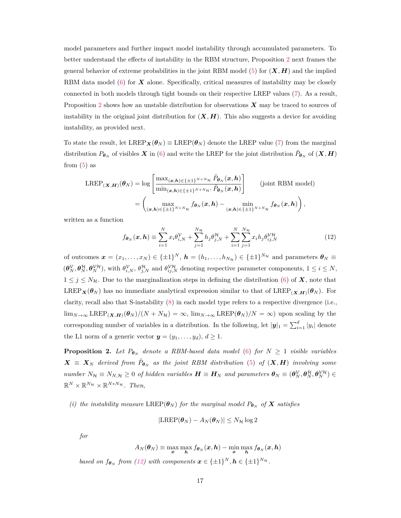model parameters and further impact model instability through accumulated parameters. To better understand the effects of instability in the RBM structure, Proposition [2](#page-16-0) next frames the general behavior of extreme probabilities in the joint RBM model [\(5\)](#page-4-1) for  $(X, H)$  and the implied RBM data model [\(6\)](#page-4-2) for *X* alone. Specifically, critical measures of instability may be closely connected in both models through tight bounds on their respective LREP values [\(7\)](#page-6-1). As a result, Proposition [2](#page-16-0) shows how an unstable distribution for observations *X* may be traced to sources of instability in the original joint distribution for  $(X, H)$ . This also suggests a device for avoiding instability, as provided next.

To state the result, let  $\text{LREF}_{\mathbf{X}}(\theta_N) \equiv \text{LREF}(\theta_N)$  denote the LREP value [\(7\)](#page-6-1) from the marginal distribution  $P_{\theta_N}$  of visibles  $X$  in [\(6\)](#page-4-2) and write the LREP for the joint distribution  $\tilde{P}_{\theta_N}$  of  $(X, H)$ from  $(5)$  as

$$
\text{LREP}_{(\boldsymbol{X},\boldsymbol{H})}(\boldsymbol{\theta}_{N}) = \log \left[ \frac{\max_{(\boldsymbol{x},\boldsymbol{h}) \in \{\pm 1\}^{N+N_{\mathcal{H}}}} \tilde{P}_{\boldsymbol{\theta}_{N}}(\boldsymbol{x},\boldsymbol{h})}{\min_{(\boldsymbol{x},\boldsymbol{h}) \in \{\pm 1\}^{N+N_{\mathcal{H}}}} \tilde{P}_{\boldsymbol{\theta}_{N}}(\boldsymbol{x},\boldsymbol{h})} \right] \qquad \text{(joint RBM model)}
$$

$$
= \left( \max_{(\boldsymbol{x},\boldsymbol{h}) \in \{\pm 1\}^{N+N_{\mathcal{H}}}} f_{\boldsymbol{\theta}_{N}}(\boldsymbol{x},\boldsymbol{h}) - \min_{(\boldsymbol{x},\boldsymbol{h}) \in \{\pm 1\}^{N+N_{\mathcal{H}}}} f_{\boldsymbol{\theta}_{N}}(\boldsymbol{x},\boldsymbol{h}) \right),
$$

written as a function

<span id="page-16-1"></span>
$$
f_{\boldsymbol{\theta}_N}(\boldsymbol{x}, \boldsymbol{h}) \equiv \sum_{i=1}^N x_i \theta_{i,N}^{\mathcal{V}} + \sum_{j=1}^{N_{\mathcal{H}}} h_j \theta_{j,N}^{\mathcal{H}} + \sum_{i=1}^N \sum_{j=1}^{N_{\mathcal{H}}} x_i h_j \theta_{ij,N}^{\mathcal{V}\mathcal{H}}
$$
(12)

of outcomes  $\mathbf{x} = (x_1, \ldots, x_N) \in \{\pm 1\}^N$ ,  $\mathbf{h} = (h_1, \ldots, h_{N_\mathcal{H}}) \in \{\pm 1\}^{N_\mathcal{H}}$  and parameters  $\boldsymbol{\theta}_N \equiv$  $(\theta_N^{\mathcal{V}}, \theta_N^{\mathcal{H}}, \theta_N^{\mathcal{V}\mathcal{H}})$ , with  $\theta_{i,N}^{\mathcal{V}}, \theta_{j,N}^{\mathcal{H}}$  and  $\theta_{ij,N}^{\mathcal{V}\mathcal{H}}$  denoting respective parameter components,  $1 \leq i \leq N$ ,  $1 \leq j \leq N_H$ . Due to the marginalization steps in defining the distribution [\(6\)](#page-4-2) of **X**, note that LREP<sub>*X*</sub>( $\theta$ <sub>*N*</sub>) has no immediate analytical expression similar to that of LREP<sub>(*X,H*)( $\theta$ <sub>*N*</sub>). For</sub> clarity, recall also that S-instability [\(8\)](#page-6-2) in each model type refers to a respective divergence (i.e.,  $\lim_{N\to\infty} \text{LREP}_{(\mathbf{X},\mathbf{H})}(\boldsymbol{\theta}_N)/(N+N_{\mathcal{H}}) = \infty$ ,  $\lim_{N\to\infty} \text{LREP}(\boldsymbol{\theta}_N)/N = \infty$ ) upon scaling by the corresponding number of variables in a distribution. In the following, let  $|y|_1 = \sum_{i=1}^d |y_i|$  denote the L1 norm of a generic vector  $y = (y_1, \ldots, y_d), d \ge 1$ .

<span id="page-16-0"></span>**Proposition 2.** Let  $P_{\theta_N}$  denote a RBM-based data model [\(6\)](#page-4-2) for  $N \geq 1$  visible variables  $X = X_N$  *derived from*  $\tilde{P}_{\theta_N}$  *as the joint RBM distribution* [\(5\)](#page-4-1) *of*  $(X, H)$  *involving some* number  $N_{\mathcal{H}} \equiv N_{N,\mathcal{H}} \geq 0$  of hidden variables  $\boldsymbol{H} \equiv \boldsymbol{H}_N$  and parameters  $\boldsymbol{\theta}_N \equiv (\boldsymbol{\theta}_N^{\mathcal{V}}, \boldsymbol{\theta}_N^{\mathcal{H}}, \boldsymbol{\theta}_N^{\mathcal{V}\mathcal{H}}) \in$  $\mathbb{R}^N \times \mathbb{R}^{N_H} \times \mathbb{R}^{N*N_H}$ . Then,

*(i) the instability measure*  $\text{LREF}(\theta_N)$  *for the marginal model*  $P_{\theta_N}$  *of*  $X$  *satisfies* 

$$
|\text{LREP}(\boldsymbol{\theta}_N) - A_N(\boldsymbol{\theta}_N)| \leq N_{\mathcal{H}} \log 2
$$

*for*

$$
A_N(\theta_N) \equiv \max_{\mathbf{x}} \max_{\mathbf{h}} f_{\theta_N}(\mathbf{x}, \mathbf{h}) - \min_{\mathbf{x}} \max_{\mathbf{h}} f_{\theta_N}(\mathbf{x}, \mathbf{h})
$$
  
based on  $f_{\theta_N}$  from (12) with components  $\mathbf{x} \in \{\pm 1\}^N$ ,  $\mathbf{h} \in \{\pm 1\}^{N_H}$ .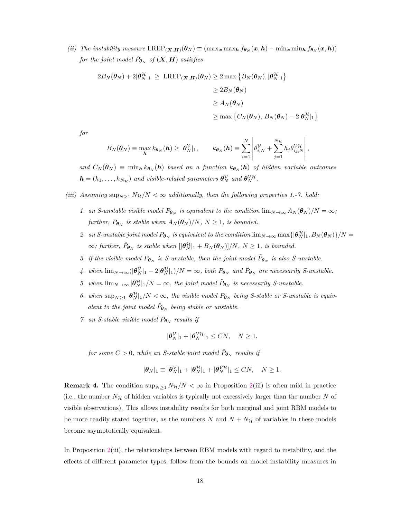(ii) The instability measure  $\text{LREF}_{(\mathbf{X},\mathbf{H})}(\theta_N)\equiv(\max_{\mathbf{x}}\max_{\mathbf{h}}f_{\theta_N}(\mathbf{x},\mathbf{h})-\min_{\mathbf{x}}\min_{\mathbf{h}}f_{\theta_N}(\mathbf{x},\mathbf{h}))$ *for the joint model*  $\tilde{P}_{\boldsymbol{\theta}_N}$  *of*  $(\boldsymbol{X}, \boldsymbol{H})$  *satisfies* 

$$
2B_N(\theta_N) + 2|\theta_N^{\mathcal{H}}|_1 \ge \text{LREF}_{(\mathbf{X},\mathbf{H})}(\theta_N) \ge 2 \max \left\{ B_N(\theta_N), |\theta_N^{\mathcal{H}}|_1 \right\}
$$
  

$$
\ge 2B_N(\theta_N)
$$
  

$$
\ge A_N(\theta_N)
$$
  

$$
\ge \max \left\{ C_N(\theta_N), B_N(\theta_N) - 2|\theta_N^{\mathcal{H}}|_1 \right\}
$$

*for*

$$
B_N(\boldsymbol{\theta}_N) \equiv \max_{\boldsymbol{h}} k_{\boldsymbol{\theta}_N}(\boldsymbol{h}) \geq |\boldsymbol{\theta}_N^{\mathcal{V}}|_1, \qquad k_{\boldsymbol{\theta}_N}(\boldsymbol{h}) \equiv \sum_{i=1}^N \left| \theta_{i,N}^{\mathcal{V}} + \sum_{j=1}^{N_{\mathcal{H}}} h_j \theta_{ij,N}^{\mathcal{V}\mathcal{H}} \right|,
$$

*and*  $C_N(\theta_N) \equiv \min_h k_{\theta_N}(h)$  based on a function  $k_{\theta_N}(h)$  of hidden variable outcomes  $\boldsymbol{h} = (h_1, \ldots, h_{N_{\mathcal{H}}})$  and visible-related parameters  $\boldsymbol{\theta}_N^{\mathcal{V}}$  and  $\boldsymbol{\theta}_N^{\mathcal{V}\mathcal{H}}$ .

*(iii)* Assuming  $\sup_{N\geq 1} N_{\mathcal{H}}/N < \infty$  additionally, then the following properties 1.-7. hold:

- *1. an S-unstable visible model*  $P_{\theta_N}$  *is equivalent to the condition*  $\lim_{N\to\infty} A_N(\theta_N)/N = \infty$ ; *further,*  $P_{\boldsymbol{\theta}_N}$  *is stable when*  $A_N(\boldsymbol{\theta}_N)/N$ ,  $N \geq 1$ *, is bounded.*
- *2. an S*-unstable joint model  $P_{\theta_N}$  is equivalent to the condition  $\lim_{N\to\infty} \max\{|\theta_N^{\mathcal{H}}|_1, B_N(\theta_N)\}/N =$  $\infty$ *; further,*  $\tilde{P}_{\boldsymbol{\theta}_N}$  *is stable when*  $[|\boldsymbol{\theta}_N^{\mathcal{H}}|_1 + B_N(\boldsymbol{\theta}_N)]/N$ ,  $N \geq 1$ *, is bounded.*
- *3. if the visible model*  $P_{\theta_N}$  *is S-unstable, then the joint model*  $\tilde{P}_{\theta_N}$  *is also S-unstable.*
- *4.* when  $\lim_{N\to\infty}(|\theta_N^{\mathcal{Y}}|_1 2|\theta_N^{\mathcal{H}}|_1)/N = \infty$ , both  $P_{\theta_N}$  and  $\tilde{P}_{\theta_N}$  are necessarily S-unstable.
- *5.* when  $\lim_{N\to\infty} |\theta_N^{\mathcal{H}}|_1/N = \infty$ , the joint model  $\tilde{P}_{\theta_N}$  is necessarily S-unstable.
- 6. when  $\sup_{N\geq 1} |\theta_N^{\mathcal{H}}|_1/N < \infty$ , the visible model  $P_{\theta_N}$  being S-stable or S-unstable is equiv*alent to the joint model*  $\tilde{P}_{\boldsymbol{\theta}_N}$  *being stable or unstable.*
- *7. an S-stable visible model*  $P_{\theta_N}$  *results if*

$$
|\theta_N^{\mathcal{V}}|_1 + |\theta_N^{\mathcal{V}\mathcal{H}}|_1 \le CN, \quad N \ge 1,
$$

*for some*  $C > 0$ *, while an S-stable joint model*  $\tilde{P}_{\boldsymbol{\theta}_N}$  *results if* 

$$
|\boldsymbol{\theta}_N|_1 \equiv |\boldsymbol{\theta}_N^{\mathcal{V}}|_1 + |\boldsymbol{\theta}_N^{\mathcal{H}}|_1 + |\boldsymbol{\theta}_N^{\mathcal{V}\mathcal{H}}|_1 \leq CN, \quad N \geq 1.
$$

**Remark 4.** The condition  $\sup_{N\geq 1} N_{\mathcal{H}}/N < \infty$  in Proposition [2\(](#page-16-0)iii) is often mild in practice (i.e., the number  $N<sub>H</sub>$  of hidden variables is typically not excessively larger than the number N of visible observations). This allows instability results for both marginal and joint RBM models to be more readily stated together, as the numbers  $N$  and  $N + N_H$  of variables in these models become asymptotically equivalent.

In Proposition [2\(](#page-16-0)iii), the relationships between RBM models with regard to instability, and the effects of different parameter types, follow from the bounds on model instability measures in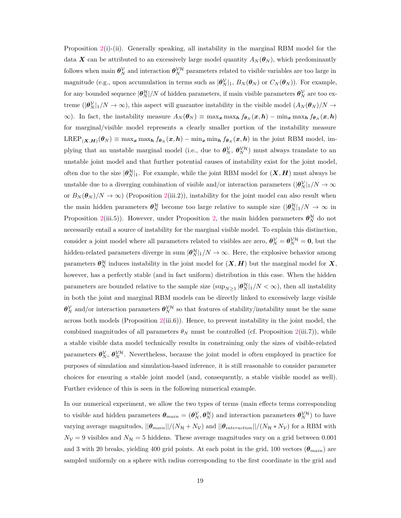Proposition [2\(](#page-16-0)i)-(ii). Generally speaking, all instability in the marginal RBM model for the data *X* can be attributed to an excessively large model quantity  $A_N(\theta_N)$ , which predominantly follows when main  $\theta_N^{\cal V}$  and interaction  $\theta_N^{\cal VH}$  parameters related to visible variables are too large in magnitude (e.g., upon accumulation in terms such as  $|\theta_N^{\mathcal{V}}|_1$ ,  $B_N(\theta_N)$  or  $C_N(\theta_N)$ ). For example, for any bounded sequence  $|\theta_N^{\mathcal{H}}|/N$  of hidden parameters, if main visible parameters  $\theta_N^{\mathcal{V}}$  are too extreme  $(|\theta_N^{\mathcal{V}}|_1/N \to \infty)$ , this aspect will guarantee instability in the visible model  $(A_N(\theta_N)/N \to \infty)$  $\infty$ ). In fact, the instability measure  $A_N(\theta_N) \equiv \max_x \max_h f_{\theta_N}(x,h) - \min_x \max_h f_{\theta_N}(x,h)$ for marginal/visible model represents a clearly smaller portion of the instability measure  $LREF_{(\mathbf{X},\mathbf{H})}(\theta_N)\equiv\max_{\mathbf{x}}\max_{\mathbf{h}}f_{\theta_N}(\mathbf{x},\mathbf{h})-\min_{\mathbf{x}}\min_{\mathbf{h}}f_{\theta_N}(\mathbf{x},\mathbf{h})$  in the joint RBM model, implying that an unstable marginal model (i.e., due to  $\theta_N^{\cal V}, \theta_N^{\cal VH}$ ) must always translate to an unstable joint model and that further potential causes of instability exist for the joint model, often due to the size  $|\theta_N^{\mathcal{H}}|_1$ . For example, while the joint RBM model for  $(\bm{X}, \bm{H})$  must always be unstable due to a diverging combination of visible and/or interaction parameters  $(|\theta_N^{\cal V}|_1/N \to \infty$ or  $B_N(\theta_N)/N \to \infty$  (Proposition [2\(](#page-16-0)iii.2)), instability for the joint model can also result when the main hidden parameters  $\theta_N^{\mathcal{H}}$  become too large relative to sample size  $(|\theta_N^{\mathcal{H}}|_1/N \to \infty$  in Proposition [2\(](#page-16-0)iii.5)). However, under Proposition [2,](#page-16-0) the main hidden parameters  $\theta_N^{\mathcal{H}}$  do not necessarily entail a source of instability for the marginal visible model. To explain this distinction, consider a joint model where all parameters related to visibles are zero,  $\theta_N^{\cal V} = \theta_N^{\cal VH} = 0$ , but the hidden-related parameters diverge in sum  $|\theta_N^{\mathcal{H}}|_1/N \to \infty$ . Here, the explosive behavior among parameters  $\theta_N^{\mathcal{H}}$  induces instability in the joint model for  $(X, H)$  but the marginal model for  $X$ , however, has a perfectly stable (and in fact uniform) distribution in this case. When the hidden parameters are bounded relative to the sample size  $(\sup_{N\geq 1} |\theta_N^{\mathcal{H}}|_1/N < \infty)$ , then all instability in both the joint and marginal RBM models can be directly linked to excessively large visible  $\theta_N^{\mathcal{V}}$  and/or interaction parameters  $\theta_N^{\mathcal{V}\mathcal{H}}$  so that features of stability/instability must be the same across both models (Proposition [2\(](#page-16-0)iii.6)). Hence, to prevent instability in the joint model, the combined magnitudes of all parameters  $\theta_N$  must be controlled (cf. Proposition [2\(](#page-16-0)iii.7)), while a stable visible data model technically results in constraining only the sizes of visible-related parameters  $\theta_N^{\gamma}, \theta_N^{\gamma\mu}$ . Nevertheless, because the joint model is often employed in practice for purposes of simulation and simulation-based inference, it is still reasonable to consider parameter choices for ensuring a stable joint model (and, consequently, a stable visible model as well). Further evidence of this is seen in the following numerical example.

In our numerical experiment, we allow the two types of terms (main effects terms corresponding to visible and hidden parameters  $\theta_{main} = (\theta_N^{\mathcal{V}}, \theta_N^{\mathcal{H}})$  and interaction parameters  $\theta_N^{\mathcal{V}\mathcal{H}}$  to have varying average magnitudes,  $||\theta_{main}||/(N_{\mathcal{H}} + N_{\mathcal{V}})$  and  $||\theta_{interaction}||/(N_{\mathcal{H}} * N_{\mathcal{V}})$  for a RBM with  $N_V = 9$  visibles and  $N_H = 5$  hiddens. These average magnitudes vary on a grid between 0.001 and 3 with 20 breaks, yielding 400 grid points. At each point in the grid, 100 vectors (*θmain*) are sampled uniformly on a sphere with radius corresponding to the first coordinate in the grid and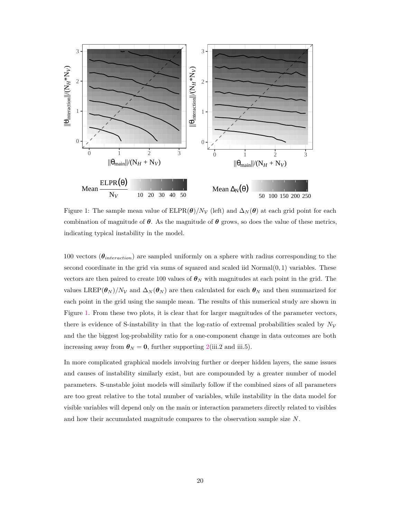<span id="page-19-0"></span>

Figure 1: The sample mean value of  $ELPR(\theta)/N_V$  (left) and  $\Delta_N(\theta)$  at each grid point for each combination of magnitude of  $\theta$ . As the magnitude of  $\theta$  grows, so does the value of these metrics, indicating typical instability in the model.

100 vectors (*θinteraction*) are sampled uniformly on a sphere with radius corresponding to the second coordinate in the grid via sums of squared and scaled iid Normal(0*,* 1) variables. These vectors are then paired to create 100 values of  $\theta_N$  with magnitudes at each point in the grid. The values  $LREP(\theta_N)/N_V$  and  $\Delta_N(\theta_N)$  are then calculated for each  $\theta_N$  and then summarized for each point in the grid using the sample mean. The results of this numerical study are shown in Figure [1.](#page-19-0) From these two plots, it is clear that for larger magnitudes of the parameter vectors, there is evidence of S-instability in that the log-ratio of extremal probabilities scaled by  $N_{\mathcal{V}}$ and the the biggest log-probability ratio for a one-component change in data outcomes are both increasing away from  $\theta_N = 0$ , further supporting [2\(](#page-16-0)iii.2 and iii.5).

In more complicated graphical models involving further or deeper hidden layers, the same issues and causes of instability similarly exist, but are compounded by a greater number of model parameters. S-unstable joint models will similarly follow if the combined sizes of all parameters are too great relative to the total number of variables, while instability in the data model for visible variables will depend only on the main or interaction parameters directly related to visibles and how their accumulated magnitude compares to the observation sample size *N*.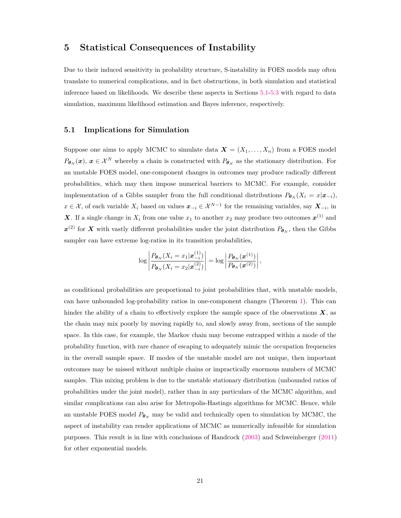# <span id="page-20-0"></span>**5 Statistical Consequences of Instability**

Due to their induced sensitivity in probability structure, S-instability in FOES models may often translate to numerical complications, and in fact obstructions, in both simulation and statistical inference based on likelihoods. We describe these aspects in Sections [5.1-](#page-20-1)[5.3](#page-22-0) with regard to data simulation, maximum likelihood estimation and Bayes inference, respectively.

#### <span id="page-20-1"></span>**5.1 Implications for Simulation**

Suppose one aims to apply MCMC to simulate data  $\mathbf{X} = (X_1, \ldots, X_n)$  from a FOES model  $P_{\theta_N}(x)$ ,  $x \in \mathcal{X}^N$  whereby a chain is constructed with  $P_{\theta_N}$  as the stationary distribution. For an unstable FOES model, one-component changes in outcomes may produce radically different probabilities, which may then impose numerical barriers to MCMC. For example, consider implementation of a Gibbs sampler from the full conditional distributions  $P_{\theta_N}(X_i = x | \mathbf{x}_{-i})$ , *x* ∈ X, of each variable  $X_i$  based on values  $x_{-i} \in \mathcal{X}^{N-1}$  for the remaining variables, say  $\mathbf{X}_{-i}$ , in *X*. If a single change in  $X_i$  from one value  $x_1$  to another  $x_2$  may produce two outcomes  $x^{(1)}$  and  $x^{(2)}$  for *X* with vastly different probabilities under the joint distribution  $P_{\theta_N}$ , then the Gibbs sampler can have extreme log-ratios in its transition probabilities,

$$
\log \left| \frac{P_{\boldsymbol{\theta}_N}(X_i = x_1 | \boldsymbol{x}_{-i}^{(1)})}{P_{\boldsymbol{\theta}_N}(X_i = x_2 | \boldsymbol{x}_{-i}^{(2)})} \right| = \log \left| \frac{P_{\boldsymbol{\theta}_N}(\boldsymbol{x}^{(1)})}{P_{\boldsymbol{\theta}_N}(\boldsymbol{x}^{(2)})} \right|,
$$

as conditional probabilities are proportional to joint probabilities that, with unstable models, can have unbounded log-probability ratios in one-component changes (Theorem [1\)](#page-8-0). This can hinder the ability of a chain to effectively explore the sample space of the observations  $\boldsymbol{X}$ , as the chain may mix poorly by moving rapidly to, and slowly away from, sections of the sample space. In this case, for example, the Markov chain may become entrapped within a mode of the probability function, with rare chance of escaping to adequately mimic the occupation frequencies in the overall sample space. If modes of the unstable model are not unique, then important outcomes may be missed without multiple chains or impractically enormous numbers of MCMC samples. This mixing problem is due to the unstable stationary distribution (unbounded ratios of probabilities under the joint model), rather than in any particulars of the MCMC algorithm, and similar complications can also arise for Metropolis-Hastings algorithms for MCMC. Hence, while an unstable FOES model  $P_{\theta_N}$  may be valid and technically open to simulation by MCMC, the aspect of instability can render applications of MCMC as numerically infeasible for simulation purposes. This result is in line with conclusions of Handcock [\(2003\)](#page-28-2) and Schweinberger [\(2011\)](#page-28-1) for other exponential models.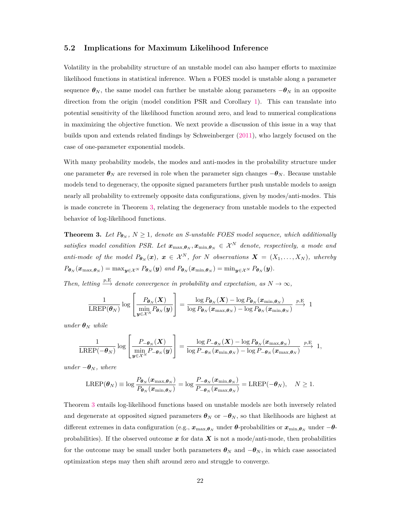#### **5.2 Implications for Maximum Likelihood Inference**

Volatility in the probability structure of an unstable model can also hamper efforts to maximize likelihood functions in statistical inference. When a FOES model is unstable along a parameter sequence  $\theta_N$ , the same model can further be unstable along parameters  $-\theta_N$  in an opposite direction from the origin (model condition PSR and Corollary [1\)](#page-10-0). This can translate into potential sensitivity of the likelihood function around zero, and lead to numerical complications in maximizing the objective function. We next provide a discussion of this issue in a way that builds upon and extends related findings by Schweinberger [\(2011\)](#page-28-1), who largely focused on the case of one-parameter exponential models.

With many probability models, the modes and anti-modes in the probability structure under one parameter  $\theta_N$  are reversed in role when the parameter sign changes  $-\theta_N$ . Because unstable models tend to degeneracy, the opposite signed parameters further push unstable models to assign nearly all probability to extremely opposite data configurations, given by modes/anti-modes. This is made concrete in Theorem [3,](#page-21-0) relating the degeneracy from unstable models to the expected behavior of log-likelihood functions.

<span id="page-21-0"></span>**Theorem 3.** Let  $P_{\theta_N}$ ,  $N \geq 1$ , denote an S-unstable FOES model sequence, which additionally *satisfies model condition PSR. Let*  $\mathbf{x}_{\max,\theta_N}, \mathbf{x}_{\min,\theta_N} \in \mathcal{X}^N$  denote, respectively, a mode and *anti-mode* of the model  $P_{\theta_N}(x)$ ,  $x \in \mathcal{X}^N$ , for *N* observations  $\mathbf{X} = (X_1, \ldots, X_N)$ , whereby  $P_{\theta_N}(\pmb{x}_{\max,\pmb{\theta}_N})=\max_{\pmb{y}\in\mathcal{X}^N}P_{\theta_N}(\pmb{y})\ and\ P_{\theta_N}(\pmb{x}_{\min,\pmb{\theta}_N})=\min_{\pmb{y}\in\mathcal{X}^N}P_{\theta_N}(\pmb{y}).$ 

*Then, letting*  $\stackrel{p,\mathrm{E}}{\longrightarrow}$  *denote convergence in probability and expectation, as*  $N \to \infty$ *,* 

$$
\frac{1}{\text{LREP}(\boldsymbol{\theta}_N)} \log \left[ \frac{P_{\boldsymbol{\theta}_N}(\boldsymbol{X})}{\min\limits_{\boldsymbol{y}\in\mathcal{X}^N} P_{\boldsymbol{\theta}_N}(\boldsymbol{y})} \right] = \frac{\log P_{\boldsymbol{\theta}_N}(\boldsymbol{X}) - \log P_{\boldsymbol{\theta}_N}(\boldsymbol{x}_{\min,\boldsymbol{\theta}_N})}{\log P_{\boldsymbol{\theta}_N}(\boldsymbol{x}_{\max,\boldsymbol{\theta}_N}) - \log P_{\boldsymbol{\theta}_N}(\boldsymbol{x}_{\min,\boldsymbol{\theta}_N})} \xrightarrow{p,\text{E}} 1
$$

 $under \theta_N$  *while* 

$$
\frac{1}{\text{LREP}(-\boldsymbol{\theta}_N)}\log\left[\frac{P_{-\boldsymbol{\theta}_N}(\boldsymbol{X})}{\min\limits_{\boldsymbol{y}\in\mathcal{X}^N}P_{-\boldsymbol{\theta}_N}(\boldsymbol{y})}\right] = \frac{\log P_{-\boldsymbol{\theta}_N}(\boldsymbol{X}) - \log P_{\boldsymbol{\theta}_N}(\boldsymbol{x}_{\max,\boldsymbol{\theta}_N})}{\log P_{-\boldsymbol{\theta}_N}(\boldsymbol{x}_{\min,\boldsymbol{\theta}_N}) - \log P_{-\boldsymbol{\theta}_N}(\boldsymbol{x}_{\max,\boldsymbol{\theta}_N})} \xrightarrow{p,\text{E}} 1,
$$

 $under -***θ***<sub>N</sub>$ *, where* 

$$
\text{LREF}(\boldsymbol{\theta}_N)\equiv\log\frac{P_{\boldsymbol{\theta}_N}(\boldsymbol{x}_{\max,\boldsymbol{\theta}_N})}{P_{\boldsymbol{\theta}_N}(\boldsymbol{x}_{\min,\boldsymbol{\theta}_N})}=\log\frac{P_{-\boldsymbol{\theta}_N}(\boldsymbol{x}_{\min,\boldsymbol{\theta}_N})}{P_{-\boldsymbol{\theta}_N}(\boldsymbol{x}_{\max,\boldsymbol{\theta}_N})}=\text{LREF}(-\boldsymbol{\theta}_N),\quad N\ge1.
$$

Theorem [3](#page-21-0) entails log-likelihood functions based on unstable models are both inversely related and degenerate at opposited signed parameters  $\theta_N$  or  $-\theta_N$ , so that likelihoods are highest at different extremes in data configuration (e.g.,  $x_{\max,\theta_N}$  under  $\theta$ -probabilities or  $x_{\min,\theta_N}$  under  $-\theta$ probabilities). If the observed outcome  $x$  for data  $X$  is not a mode/anti-mode, then probabilities for the outcome may be small under both parameters  $\theta_N$  and  $-\theta_N$ , in which case associated optimization steps may then shift around zero and struggle to converge.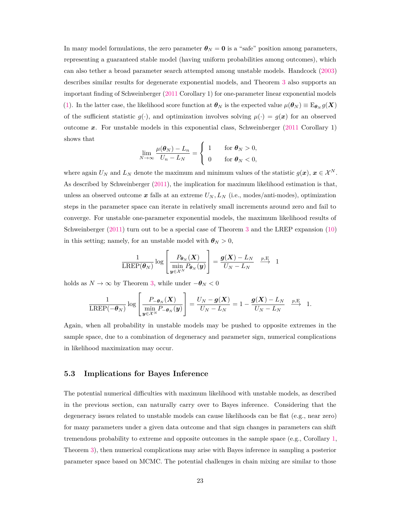In many model formulations, the zero parameter  $\theta_N = 0$  is a "safe" position among parameters, representing a guaranteed stable model (having uniform probabilities among outcomes), which can also tether a broad parameter search attempted among unstable models. Handcock [\(2003\)](#page-28-2) describes similar results for degenerate exponential models, and Theorem [3](#page-21-0) also supports an important finding of Schweinberger [\(2011](#page-28-1) Corollary 1) for one-parameter linear exponential models [\(1\)](#page-2-1). In the latter case, the likelihood score function at  $\theta_N$  is the expected value  $\mu(\theta_N) \equiv E_{\theta_N} g(\mathbf{X})$ of the sufficient statistic  $g(\cdot)$ , and optimization involves solving  $\mu(\cdot) = g(x)$  for an observed outcome *x*. For unstable models in this exponential class, Schweinberger [\(2011](#page-28-1) Corollary 1) shows that

$$
\lim_{N \to \infty} \frac{\mu(\boldsymbol{\theta}_N) - L_n}{U_n - L_N} = \begin{cases} 1 & \text{for } \boldsymbol{\theta}_N > 0, \\ 0 & \text{for } \boldsymbol{\theta}_N < 0, \end{cases}
$$

where again  $U_N$  and  $L_N$  denote the maximum and minimum values of the statistic  $g(x)$ ,  $x \in \mathcal{X}^N$ . As described by Schweinberger [\(2011\)](#page-28-1), the implication for maximum likelihood estimation is that, unless an observed outcome *x* falls at an extreme *U<sup>N</sup> , L<sup>N</sup>* (i.e., modes/anti-modes), optimization steps in the parameter space can iterate in relatively small increments around zero and fail to converge. For unstable one-parameter exponential models, the maximum likelihood results of Schweinberger [\(2011\)](#page-28-1) turn out to be a special case of Theorem [3](#page-21-0) and the LREP expansion [\(10\)](#page-12-0) in this setting; namely, for an unstable model with  $\theta_N > 0$ ,

$$
\frac{1}{\text{LREP}(\boldsymbol{\theta}_N)} \log \left[ \frac{P_{\boldsymbol{\theta}_N}(\boldsymbol{X})}{\min\limits_{\boldsymbol{y}\in\mathcal{X}^N} P_{\boldsymbol{\theta}_N}(\boldsymbol{y})} \right] = \frac{\boldsymbol{g}(\boldsymbol{X})-L_N}{U_N-L_N} \xrightarrow{p,\text{E}} 1
$$

holds as  $N \to \infty$  by Theorem [3,](#page-21-0) while under  $-\theta_N < 0$ 

$$
\frac{1}{\text{LREP}(-\boldsymbol{\theta}_N)}\log\left[\frac{P_{-\boldsymbol{\theta}_N}(\boldsymbol{X})}{\min\limits_{\boldsymbol{y}\in\mathcal{X}^N}P_{-\boldsymbol{\theta}_N}(\boldsymbol{y})}\right] = \frac{U_N - \boldsymbol{g}(\boldsymbol{X})}{U_N - L_N} = 1 - \frac{\boldsymbol{g}(\boldsymbol{X}) - L_N}{U_N - L_N} \xrightarrow{p, E} 1.
$$

Again, when all probability in unstable models may be pushed to opposite extremes in the sample space, due to a combination of degeneracy and parameter sign, numerical complications in likelihood maximization may occur.

#### <span id="page-22-0"></span>**5.3 Implications for Bayes Inference**

The potential numerical difficulties with maximum likelihood with unstable models, as described in the previous section, can naturally carry over to Bayes inference. Considering that the degeneracy issues related to unstable models can cause likelihoods can be flat (e.g., near zero) for many parameters under a given data outcome and that sign changes in parameters can shift tremendous probability to extreme and opposite outcomes in the sample space (e.g., Corollary [1,](#page-10-0) Theorem [3\)](#page-21-0), then numerical complications may arise with Bayes inference in sampling a posterior parameter space based on MCMC. The potential challenges in chain mixing are similar to those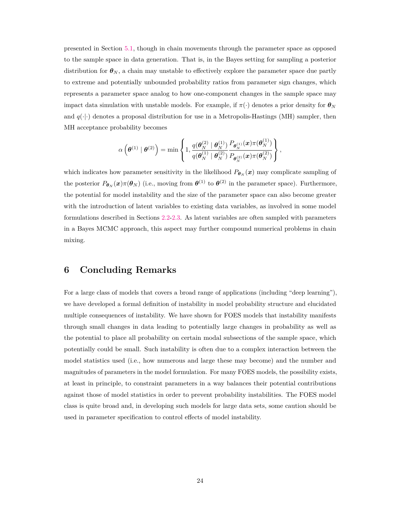presented in Section [5.1,](#page-20-1) though in chain movements through the parameter space as opposed to the sample space in data generation. That is, in the Bayes setting for sampling a posterior distribution for  $\theta_N$ , a chain may unstable to effectively explore the parameter space due partly to extreme and potentially unbounded probability ratios from parameter sign changes, which represents a parameter space analog to how one-component changes in the sample space may impact data simulation with unstable models. For example, if  $\pi(\cdot)$  denotes a prior density for  $\theta_N$ and  $q(\cdot|\cdot)$  denotes a proposal distribution for use in a Metropolis-Hastings (MH) sampler, then MH acceptance probability becomes

$$
\alpha\left(\bm\theta^{(1)}\mid \bm\theta^{(2)}\right)=\min\left\{1,\frac{q(\bm\theta_N^{(2)}\mid \bm\theta_N^{(1)})}{q(\bm\theta_N^{(1)}\mid \bm\theta_N^{(2)})}\frac{P_{\bm\theta_N^{(1)}}(\bm x)\pi(\bm\theta_N^{(1)})}{P_{\bm\theta_N^{(2)}}(\bm x)\pi(\bm\theta_N^{(2)})}\right\},
$$

which indicates how parameter sensitivity in the likelihood  $P_{\theta_N}(x)$  may complicate sampling of the posterior  $P_{\theta_N}(x)\pi(\theta_N)$  (i.e., moving from  $\theta^{(1)}$  to  $\theta^{(2)}$  in the parameter space). Furthermore, the potential for model instability and the size of the parameter space can also become greater with the introduction of latent variables to existing data variables, as involved in some model formulations described in Sections [2.2-](#page-4-0)[2.3.](#page-5-0) As latent variables are often sampled with parameters in a Bayes MCMC approach, this aspect may further compound numerical problems in chain mixing.

### **6 Concluding Remarks**

For a large class of models that covers a broad range of applications (including "deep learning"), we have developed a formal definition of instability in model probability structure and elucidated multiple consequences of instability. We have shown for FOES models that instability manifests through small changes in data leading to potentially large changes in probability as well as the potential to place all probability on certain modal subsections of the sample space, which potentially could be small. Such instability is often due to a complex interaction between the model statistics used (i.e., how numerous and large these may become) and the number and magnitudes of parameters in the model formulation. For many FOES models, the possibility exists, at least in principle, to constraint parameters in a way balances their potential contributions against those of model statistics in order to prevent probability instabilities. The FOES model class is quite broad and, in developing such models for large data sets, some caution should be used in parameter specification to control effects of model instability.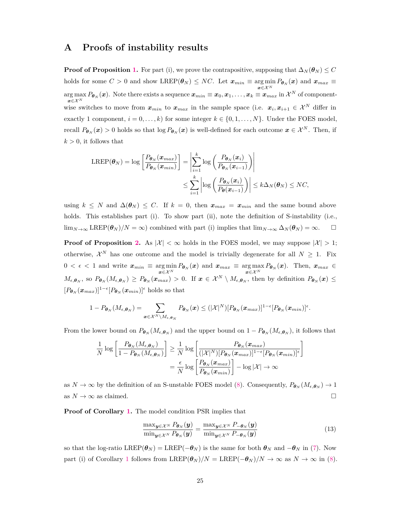### <span id="page-24-0"></span>**A Proofs of instability results**

**Proof of Proposition [1.](#page-8-0)** For part (i), we prove the contrapositive, supposing that  $\Delta_N(\theta_N) \leq C$ holds for some  $C > 0$  and show LREP( $\theta_N$ )  $\le NC$ . Let  $x_{min} \equiv \argmin_{\mathbf{x} \in \mathcal{X}^N} P_{\theta_N}(\mathbf{x})$  and  $x_{max} \equiv$  $\arg \max P_{\bm{\theta}_N}(\bm{x})$ . Note there exists a sequence  $\bm{x}_{min}\equiv \bm{x}_0, \bm{x}_1, \ldots, \bm{x}_k \equiv \bm{x}_{max} \text{ in } \mathcal{X}^N$  of component $x ∈ X<sup>N</sup>$ wise switches to move from  $x_{min}$  to  $x_{max}$  in the sample space (i.e.  $x_i, x_{i+1} \in \mathcal{X}^N$  differ in exactly 1 component,  $i = 0, \ldots, k$  for some integer  $k \in \{0, 1, \ldots, N\}$ . Under the FOES model, recall  $P_{\theta_N}(x) > 0$  holds so that  $\log P_{\theta_N}(x)$  is well-defined for each outcome  $x \in \mathcal{X}^N$ . Then, if  $k > 0$ , it follows that

$$
\begin{aligned} \text{LREF}(\boldsymbol{\theta}_{N}) &= \log \left[ \frac{P_{\boldsymbol{\theta}_{N}}(\boldsymbol{x}_{max})}{P_{\boldsymbol{\theta}_{N}}(\boldsymbol{x}_{min})} \right] = \left| \sum_{i=1}^{k} \log \left( \frac{P_{\boldsymbol{\theta}_{N}}(\boldsymbol{x}_{i})}{P_{\boldsymbol{\theta}_{N}}(\boldsymbol{x}_{i-1})} \right) \right| \\ &\leq \sum_{i=1}^{k} \left| \log \left( \frac{P_{\boldsymbol{\theta}_{N}}(\boldsymbol{x}_{i})}{P_{\boldsymbol{\theta}}(\boldsymbol{x}_{i-1})} \right) \right| \leq k \Delta_{N}(\boldsymbol{\theta}_{N}) \leq NC, \end{aligned}
$$

using  $k \leq N$  and  $\Delta(\theta_N) \leq C$ . If  $k = 0$ , then  $x_{max} = x_{min}$  and the same bound above holds. This establishes part (i). To show part (ii), note the definition of S-instability (i.e.,  $\lim_{N\to\infty} \text{LREF}(\theta_N)/N=\infty$  combined with part (i) implies that  $\lim_{N\to\infty} \Delta_N(\theta_N)=\infty$ .  $\Box$ 

**Proof of Proposition [2.](#page-9-0)** As  $|\mathcal{X}| < \infty$  holds in the FOES model, we may suppose  $|\mathcal{X}| > 1$ ; otherwise,  $\mathcal{X}^N$  has one outcome and the model is trivially degenerate for all  $N \geq 1$ . Fix  $0 < \epsilon < 1$  and write  $x_{min} \equiv \argmin_{\mathbf{x} \in \mathcal{X}^N} P_{\theta_N}(\mathbf{x})$  and  $x_{max} \equiv \argmax_{\mathbf{x} \in \mathcal{X}^N} P_{\theta_N}(\mathbf{x})$ . Then,  $x_{max} \in$  $M_{\epsilon,\theta_N}$ , so  $P_{\theta_N}(M_{\epsilon,\theta_N}) \geq P_{\theta_N}(\boldsymbol{x}_{max}) > 0$ . If  $\boldsymbol{x} \in \mathcal{X}^N \setminus M_{\epsilon,\theta_N}$ , then by definition  $P_{\theta_N}(\boldsymbol{x}) \leq$  $[P_{\boldsymbol{\theta}_N}(\boldsymbol{x}_{max})]^{1-\epsilon}[P_{\boldsymbol{\theta}_N}(\boldsymbol{x}_{min})]^{\epsilon}$  holds so that

$$
1-P_{\boldsymbol{\theta}_N}(M_{\epsilon,\boldsymbol{\theta}_N})=\sum_{\boldsymbol{x}\in\mathcal{X}^N\backslash M_{\epsilon,\boldsymbol{\theta}_N}}P_{\boldsymbol{\theta}_N}(\boldsymbol{x})\leq (|\mathcal{X}|^N)[P_{\boldsymbol{\theta}_N}(\boldsymbol{x}_{max})]^{1-\epsilon}[P_{\boldsymbol{\theta}_N}(\boldsymbol{x}_{min})]^{\epsilon}.
$$

From the lower bound on  $P_{\theta_N}(M_{\epsilon,\theta_N})$  and the upper bound on  $1 - P_{\theta_N}(M_{\epsilon,\theta_N})$ , it follows that

$$
\frac{1}{N} \log \left[ \frac{P_{\theta_N}(M_{\epsilon,\theta_N})}{1 - P_{\theta_N}(M_{\epsilon,\theta_N})} \right] \ge \frac{1}{N} \log \left[ \frac{P_{\theta_N}(x_{max})}{(|\mathcal{X}|^N)[P_{\theta_N}(x_{max})]^{1-\epsilon}[P_{\theta_N}(x_{min})]^{\epsilon}} \right]
$$
\n
$$
= \frac{\epsilon}{N} \log \left[ \frac{P_{\theta_N}(x_{max})}{P_{\theta_N}(x_{min})} \right] - \log |\mathcal{X}| \to \infty
$$

as  $N \to \infty$  by the definition of an S-unstable FOES model [\(8\)](#page-6-2). Consequently,  $P_{\theta_N}(M_{\epsilon,\theta_N}) \to 1$ as  $N \to \infty$  as claimed.

**Proof of Corollary [1.](#page-10-0)** The model condition PSR implies that

<span id="page-24-1"></span>
$$
\frac{\max_{\boldsymbol{y}\in\mathcal{X}^N} P_{\boldsymbol{\theta}_N}(\boldsymbol{y})}{\min_{\boldsymbol{y}\in\mathcal{X}^N} P_{\boldsymbol{\theta}_N}(\boldsymbol{y})} = \frac{\max_{\boldsymbol{y}\in\mathcal{X}^N} P_{-\boldsymbol{\theta}_N}(\boldsymbol{y})}{\min_{\boldsymbol{y}\in\mathcal{X}^N} P_{-\boldsymbol{\theta}_N}(\boldsymbol{y})}
$$
(13)

so that the log-ratio LREP( $\theta_N$ ) = LREP( $-\theta_N$ ) is the same for both  $\theta_N$  and  $-\theta_N$  in [\(7\)](#page-6-1). Now part (i) of Corollary [1](#page-10-0) follows from LREP $(\theta_N)/N = \text{LREF}(-\theta_N)/N \to \infty$  as  $N \to \infty$  in [\(8\)](#page-6-2).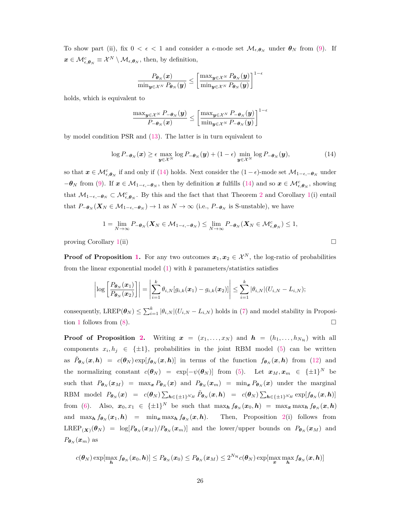To show part (ii), fix  $0 < \epsilon < 1$  and consider a  $\epsilon$ -mode set  $\mathcal{M}_{\epsilon,\theta_N}$  under  $\theta_N$  from [\(9\)](#page-9-1). If  $\boldsymbol{x} \in \mathcal{M}_{\epsilon,\boldsymbol{\theta}_N}^c \equiv \mathcal{X}^N \setminus \mathcal{M}_{\epsilon,\boldsymbol{\theta}_N}$ , then, by definition,

$$
\frac{P_{\boldsymbol{\theta}_N}(x)}{\min_{\boldsymbol{y}\in\mathcal{X}^N}P_{\boldsymbol{\theta}_N}(\boldsymbol{y})} \leq \left[\frac{\max_{\boldsymbol{y}\in\mathcal{X}^N}P_{\boldsymbol{\theta}_N}(\boldsymbol{y})}{\min_{\boldsymbol{y}\in\mathcal{X}^N}P_{\boldsymbol{\theta}_N}(\boldsymbol{y})}\right]^{1-\epsilon}
$$

holds, which is equivalent to

$$
\frac{\max_{\boldsymbol{y}\in\mathcal{X}^N}P_{-\boldsymbol{\theta}_N}(\boldsymbol{y})}{P_{-\boldsymbol{\theta}_N}(\boldsymbol{x})} \le \left[\frac{\max_{\boldsymbol{y}\in\mathcal{X}^N}P_{-\boldsymbol{\theta}_N}(\boldsymbol{y})}{\min_{\boldsymbol{y}\in\mathcal{X}^N}P_{-\boldsymbol{\theta}_N}(\boldsymbol{y})}\right]^{1-\epsilon}
$$

by model condition PSR and [\(13\)](#page-24-1). The latter is in turn equivalent to

<span id="page-25-0"></span>
$$
\log P_{-\theta_N}(\boldsymbol{x}) \ge \epsilon \max_{\boldsymbol{y} \in \mathcal{X}^N} \log P_{-\theta_N}(\boldsymbol{y}) + (1 - \epsilon) \min_{\boldsymbol{y} \in \mathcal{X}^N} \log P_{-\theta_N}(\boldsymbol{y}), \tag{14}
$$

so that  $x \in \mathcal{M}_{\epsilon,\theta_N}^c$  if and only if [\(14\)](#page-25-0) holds. Next consider the  $(1 - \epsilon)$ -mode set  $\mathcal{M}_{1-\epsilon,-\theta_N}$  under  $-\theta_N$  from [\(9\)](#page-9-1). If  $x \in M_{1-\epsilon, -\theta_N}$ , then by definition *x* fulfills [\(14\)](#page-25-0) and so  $x \in M_{\epsilon, \theta_N}^c$ , showing that  $M_{1-\epsilon,-\theta_N} \subset \mathcal{M}_{\epsilon,\theta_N}^c$ . By this and the fact that that Theorem [2](#page-9-0) and Corollary [1\(](#page-10-0)i) entail that  $P_{-\theta_N}(X_N \in \mathcal{M}_{1-\epsilon,-\theta_N}) \to 1$  as  $N \to \infty$  (i.e.,  $P_{-\theta_N}$  is S-unstable), we have

$$
1 = \lim_{N \to \infty} P_{-\theta_N}(\mathbf{X}_N \in \mathcal{M}_{1-\epsilon,-\theta_N}) \leq \lim_{N \to \infty} P_{-\theta_N}(\mathbf{X}_N \in \mathcal{M}_{\epsilon,\theta_N}^c) \leq 1,
$$

proving Corollary [1\(](#page-10-0)ii)  $\Box$ 

**Proof of Proposition [1.](#page-13-1)** For any two outcomes  $x_1, x_2 \in \mathcal{X}^N$ , the log-ratio of probabilities from the linear exponential model [\(1\)](#page-2-1) with *k* parameters/statistics satisfies

$$
\left|\log\left[\frac{P_{\boldsymbol{\theta}_{N}}(\boldsymbol{x}_1)}{P_{\boldsymbol{\theta}_{N}}(\boldsymbol{x}_2)}\right]\right|=\left|\sum_{i=1}^k\theta_{i,N}[g_{i,k}(\boldsymbol{x}_1)-g_{i,k}(\boldsymbol{x}_2)]\right|\leq \sum_{i=1}^k|\theta_{i,N}|(U_{i,N}-L_{i,N});
$$

consequently,  $\text{LREF}(\theta_N) \leq \sum_{i=1}^k |\theta_{i,N}|(U_{i,N} - L_{i,N})$  holds in [\(7\)](#page-6-1) and model stability in Proposi-tion [1](#page-13-1) follows from [\(8\)](#page-6-2).

**Proof of Proposition [2.](#page-16-0)** Writing  $x = (x_1, \ldots, x_N)$  and  $h = (h_1, \ldots, h_{N_H})$  with all components  $x_i, h_j \in \{\pm 1\}$ , probabilities in the joint RBM model [\(5\)](#page-4-1) can be written as  $\tilde{P}_{\theta_N}(x,h) = c(\theta_N) \exp[f_{\theta_N}(x,h)]$  in terms of the function  $f_{\theta_N}(x,h)$  from [\(12\)](#page-16-1) and the normalizing constant  $c(\theta_N) = \exp[-\psi(\theta_N)]$  from [\(5\)](#page-4-1). Let  $x_M, x_m \in {\{\pm 1\}}^N$  be such that  $P_{\theta_N}(x_M) = \max_x P_{\theta_N}(x)$  and  $P_{\theta_N}(x_m) = \min_x P_{\theta_N}(x)$  under the marginal RBM model  $P_{\theta_N}(x) = c(\theta_N) \sum_{h \in \{\pm 1\}^{N_H}} \tilde{P}_{\theta_N}(x, h) = c(\theta_N) \sum_{h \in \{\pm 1\}^{N_H}} \exp[f_{\theta_N}(x, h)]$ from [\(6\)](#page-4-2). Also,  $x_0, x_1 \in {\pm 1}^N$  be such that  $\max_h f_{\theta_N}(x_0, h) = \max_x \max_h f_{\theta_N}(x, h)$ and  $\max_h f_{\theta_N}(x_1, h) = \min_x \max_h f_{\theta_N}(x, h)$ . Then, Proposition [2\(](#page-16-0)i) follows from  $LREF_{(\boldsymbol{X})}(\boldsymbol{\theta}_N) = \log[P_{\boldsymbol{\theta}_N}(\boldsymbol{x}_M)/P_{\boldsymbol{\theta}_N}(\boldsymbol{x}_m)]$  and the lower/upper bounds on  $P_{\boldsymbol{\theta}_N}(\boldsymbol{x}_M)$  and  $P_{\boldsymbol{\theta}_N}(\boldsymbol{x}_m)$  as

$$
c(\boldsymbol{\theta}_N) \exp[\max_{\boldsymbol{h}} f_{\boldsymbol{\theta}_N}(\boldsymbol{x}_0, \boldsymbol{h})] \leq P_{\boldsymbol{\theta}_N}(\boldsymbol{x}_0) \leq P_{\boldsymbol{\theta}_N}(\boldsymbol{x}_M) \leq 2^{N_{\mathcal{H}}} c(\boldsymbol{\theta}_N) \exp[\max_{\boldsymbol{x}} \max_{\boldsymbol{h}} f_{\boldsymbol{\theta}_N}(\boldsymbol{x}, \boldsymbol{h})]
$$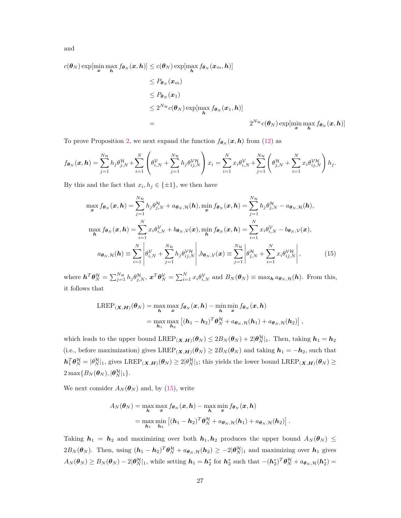and

 $c(\boldsymbol{\theta}_N) \exp[\min_{\boldsymbol{x}} \max_{\boldsymbol{h}} f_{\boldsymbol{\theta}_N}(\boldsymbol{x}, \boldsymbol{h})] \leq c(\boldsymbol{\theta}_N) \exp[\max_{\boldsymbol{h}} f_{\boldsymbol{\theta}_N}(\boldsymbol{x}_m, \boldsymbol{h})]$ 

$$
\leq P_{\theta_N}(x_m)
$$
  
\n
$$
\leq P_{\theta_N}(x_1)
$$
  
\n
$$
\leq 2^{N_{\mathcal{H}}} c(\theta_N) \exp[\max_{\boldsymbol{h}} f_{\theta_N}(x_1, \boldsymbol{h})]
$$
  
\n
$$
= 2^{N_{\mathcal{H}}} c(\theta_N) \exp[\min_{\boldsymbol{x}} \max_{\boldsymbol{h}} f_{\theta_N}(x, \boldsymbol{h})]
$$

To prove Proposition [2,](#page-16-0) we next expand the function  $f_{\theta_N}(x, h)$  from [\(12\)](#page-16-1) as

$$
f_{\boldsymbol{\theta}_N}(\boldsymbol{x}, \boldsymbol{h}) = \sum_{j=1}^{N_{\mathcal{H}}} h_j \theta_{j,N}^{\mathcal{H}} + \sum_{i=1}^N \left( \theta_{i,N}^{\mathcal{V}} + \sum_{j=1}^{N_{\mathcal{H}}} h_j \theta_{ij,N}^{\mathcal{V}\mathcal{H}} \right) x_i = \sum_{i=1}^N x_i \theta_{i,N}^{\mathcal{V}} + \sum_{j=1}^{N_{\mathcal{H}}} \left( \theta_{j,N}^{\mathcal{H}} + \sum_{i=1}^N x_i \theta_{ij,N}^{\mathcal{V}\mathcal{H}} \right) h_j.
$$

By this and the fact that  $x_i, h_j \in {\pm 1}$ , we then have

$$
\max_{\mathbf{x}} f_{\theta_N}(\mathbf{x}, \mathbf{h}) = \sum_{j=1}^{N_H} h_j \theta_{j,N}^{\mathcal{H}} + a_{\theta_N, \mathcal{H}}(\mathbf{h}), \min_{\mathbf{x}} f_{\theta_N}(\mathbf{x}, \mathbf{h}) = \sum_{j=1}^{N_H} h_j \theta_{j,N}^{\mathcal{H}} - a_{\theta_N, \mathcal{H}}(\mathbf{h}),
$$

$$
\max_{\mathbf{h}} f_{\theta_N}(\mathbf{x}, \mathbf{h}) = \sum_{i=1}^{N} x_i \theta_{i,N}^{\mathcal{V}} + b_{\theta_N, \mathcal{V}}(\mathbf{x}), \min_{\mathbf{h}} f_{\theta_N}(\mathbf{x}, \mathbf{h}) = \sum_{i=1}^{N} x_i \theta_{i,N}^{\mathcal{V}} - b_{\theta_N, \mathcal{V}}(\mathbf{x}),
$$

$$
a_{\theta_N, \mathcal{H}}(\mathbf{h}) \equiv \sum_{i=1}^{N} \left| \theta_{i,N}^{\mathcal{V}} + \sum_{j=1}^{N_H} h_j \theta_{ij,N}^{\mathcal{V}\mathcal{H}} \right|, b_{\theta_N, \mathcal{V}}(\mathbf{x}) \equiv \sum_{j=1}^{N_H} \left| \theta_{j,N}^{\mathcal{H}} + \sum_{i=1}^{N} x_i \theta_{ij,N}^{\mathcal{V}\mathcal{H}} \right|,
$$
(15)

where  $\mathbf{h}^T \theta_N^{\mathcal{H}} = \sum_{j=1}^{N_{\mathcal{H}}} h_j \theta_{j,N}^{\mathcal{H}}, \, \mathbf{x}^T \theta_N^{\mathcal{V}} = \sum_{i=1}^{N} x_i \theta_{i,N}^{\mathcal{V}}$  and  $B_N(\theta_N) \equiv \max_{\mathbf{h}} a_{\theta_N, \mathcal{H}}(\mathbf{h})$ . From this, it follows that

<span id="page-26-0"></span>
$$
\begin{aligned} \text{LREP}_{(\boldsymbol{X},\boldsymbol{H})}(\boldsymbol{\theta}_{N}) &= \max_{\boldsymbol{h}} \max_{\boldsymbol{x}} f_{\boldsymbol{\theta}_{N}}(\boldsymbol{x},\boldsymbol{h}) - \min_{\boldsymbol{h}} \min_{\boldsymbol{x}} f_{\boldsymbol{\theta}_{N}}(\boldsymbol{x},\boldsymbol{h}) \\ &= \max_{\boldsymbol{h}_1} \max_{\boldsymbol{h}_2} \left[ (\boldsymbol{h}_1 - \boldsymbol{h}_2)^T \boldsymbol{\theta}_{N}^{\mathcal{H}} + a_{\boldsymbol{\theta}_{N},\mathcal{H}}(\boldsymbol{h}_1) + a_{\boldsymbol{\theta}_{N},\mathcal{H}}(\boldsymbol{h}_2) \right], \end{aligned}
$$

which leads to the upper bound  $\text{LREF}_{(\mathbf{X},\mathbf{H})}(\theta_N) \leq 2B_N(\theta_N) + 2|\theta_N^{\mathcal{H}}|_1$ . Then, taking  $\mathbf{h}_1 = \mathbf{h}_2$ (i.e., before maximization) gives  $\text{LREF}_{(\mathbf{X},\mathbf{H})}(\theta_N) \geq 2B_N(\theta_N)$  and taking  $h_1 = -h_2$ , such that  $h_1^T \theta_N^{\mathcal{H}} = |\theta_N^{\mathcal{H}}|_1$ , gives  $\text{LREP}_{(\mathbf{X}, \mathbf{H})}(\theta_N) \geq 2|\theta_N^{\mathcal{H}}|_1$ ; this yields the lower bound  $\text{LREP}_{(\mathbf{X}, \mathbf{H})}(\theta_N) \geq$  $2 \max\{B_N(\boldsymbol{\theta}_N), |\boldsymbol{\theta}_N^{\mathcal{H}}|_1\}.$ 

We next consider  $A_N(\theta_N)$  and, by [\(15\)](#page-26-0), write

$$
A_N(\boldsymbol{\theta}_N) = \max_{\boldsymbol{h}} \max_{\boldsymbol{x}} f_{\boldsymbol{\theta}_N}(\boldsymbol{x}, \boldsymbol{h}) - \max_{\boldsymbol{h}} \min_{\boldsymbol{x}} f_{\boldsymbol{\theta}_N}(\boldsymbol{x}, \boldsymbol{h})
$$
  
= 
$$
\max_{\boldsymbol{h}_1} \min_{\boldsymbol{h}_2} \left[ (\boldsymbol{h}_1 - \boldsymbol{h}_2)^T \boldsymbol{\theta}_N^{\mathcal{H}} + a_{\boldsymbol{\theta}_N, \mathcal{H}}(\boldsymbol{h}_1) + a_{\boldsymbol{\theta}_N, \mathcal{H}}(\boldsymbol{h}_2) \right].
$$

Taking  $h_1 = h_2$  and maximizing over both  $h_1, h_2$  produces the upper bound  $A_N(\theta_N) \leq$  $2B_N(\boldsymbol{\theta}_N)$ . Then, using  $(h_1 - h_2)^T \boldsymbol{\theta}_N^{\mathcal{H}} + a_{\boldsymbol{\theta}_N, \mathcal{H}}(h_2) \ge -2|\boldsymbol{\theta}_N^{\mathcal{H}}|_1$  and maximizing over  $h_1$  gives  $A_N(\boldsymbol{\theta}_N) \geq B_N(\boldsymbol{\theta}_N) - 2|\boldsymbol{\theta}_N^{\mathcal{H}}|_1$ , while setting  $\boldsymbol{h}_1 = \boldsymbol{h}_2^*$  for  $\boldsymbol{h}_2^*$  such that  $-(\boldsymbol{h}_2^*)^T \boldsymbol{\theta}_N^{\mathcal{H}} + a_{\boldsymbol{\theta}_N,\mathcal{H}}(\boldsymbol{h}_2^*) =$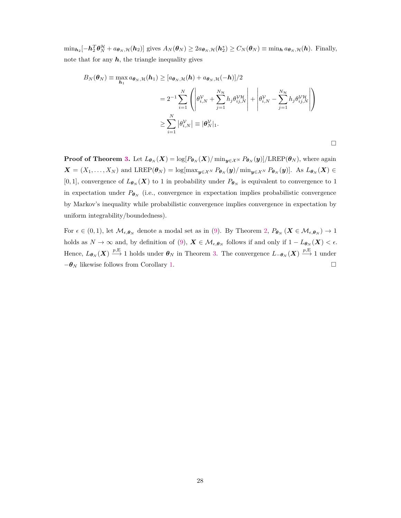$\min_{\mathbf{h}_2}[-\mathbf{h}_2^T\boldsymbol{\theta}_N^{\mathcal{H}} + a_{\boldsymbol{\theta}_N,\mathcal{H}}(\mathbf{h}_2)]$  gives  $A_N(\boldsymbol{\theta}_N) \ge 2a_{\boldsymbol{\theta}_N,\mathcal{H}}(\mathbf{h}_2^*) \ge C_N(\boldsymbol{\theta}_N) \equiv \min_{\mathbf{h}} a_{\boldsymbol{\theta}_N,\mathcal{H}}(\mathbf{h})$ . Finally, note that for any  $h$ , the triangle inequality gives

$$
B_N(\boldsymbol{\theta}_N) \equiv \max_{\boldsymbol{h}_1} a_{\boldsymbol{\theta}_N, \mathcal{H}}(\boldsymbol{h}_1) \geq [a_{\boldsymbol{\theta}_N, \mathcal{H}}(\boldsymbol{h}) + a_{\boldsymbol{\theta}_N, \mathcal{H}}(-\boldsymbol{h})]/2
$$
  

$$
= 2^{-1} \sum_{i=1}^N \left( \left| \theta_{i,N}^{\mathcal{V}} + \sum_{j=1}^{N_{\mathcal{H}}} h_j \theta_{ij,N}^{\mathcal{V}\mathcal{H}} \right| + \left| \theta_{i,N}^{\mathcal{V}} - \sum_{j=1}^{N_{\mathcal{H}}} h_j \theta_{ij,N}^{\mathcal{V}\mathcal{H}} \right| \right)
$$
  

$$
\geq \sum_{i=1}^N |\theta_{i,N}^{\mathcal{V}}| \equiv |\boldsymbol{\theta}_N^{\mathcal{V}}|_1.
$$

 $\Box$ 

**Proof of Theorem [3.](#page-21-0)** Let  $L_{\theta_N}(X) = \log[P_{\theta_N}(X)/\min_{y \in \mathcal{X}^N} P_{\theta_N}(y)]/\text{LREP}(\theta_N)$ , where again  $\mathbf{X} = (X_1, \ldots, X_N)$  and LREP $(\theta_N) = \log[\max_{\mathbf{y} \in \mathcal{X}^N} P_{\theta_N}(\mathbf{y}) / \min_{\mathbf{y} \in \mathcal{X}^N} P_{\theta_N}(\mathbf{y})]$ . As  $L_{\theta_N}(\mathbf{X}) \in$ [0, 1], convergence of  $L_{\theta_N}(X)$  to 1 in probability under  $P_{\theta_N}$  is equivalent to convergence to 1 in expectation under  $P_{\theta_N}$  (i.e., convergence in expectation implies probabilistic convergence by Markov's inequality while probabilistic convergence implies convergence in expectation by uniform integrability/boundedness).

For  $\epsilon \in (0,1)$ , let  $\mathcal{M}_{\epsilon,\theta_N}$  denote a modal set as in [\(9\)](#page-9-1). By Theorem [2,](#page-9-0)  $P_{\theta_N}(X \in \mathcal{M}_{\epsilon,\theta_N}) \to 1$ holds as  $N \to \infty$  and, by definition of [\(9\)](#page-9-1),  $\mathbf{X} \in \mathcal{M}_{\epsilon,\theta_N}$  follows if and only if  $1 - L_{\theta_N}(\mathbf{X}) < \epsilon$ . Hence,  $L_{\boldsymbol{\theta}_N}(\boldsymbol{X}) \stackrel{p,E}{\longrightarrow} 1$  holds under  $\boldsymbol{\theta}_N$  in Theorem [3.](#page-21-0) The convergence  $L_{-\boldsymbol{\theta}_N}(\boldsymbol{X}) \stackrel{p,E}{\longrightarrow} 1$  under  $-\theta_N$  likewise follows from Corollary [1.](#page-10-0)